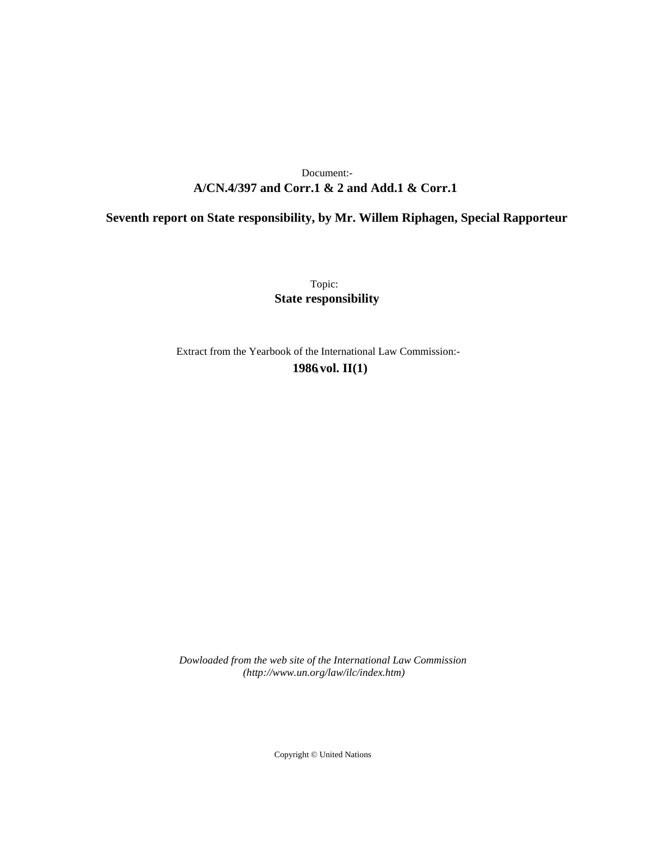# **A/CN.4/397 and Corr.1 & 2 and Add.1 & Corr.1** Document:-

# **Seventh report on State responsibility, by Mr. Willem Riphagen, Special Rapporteur**

Topic: **State responsibility**

Extract from the Yearbook of the International Law Commission:- **1986** ,**vol. II(1)**

*Dowloaded from the web site of the International Law Commission (http://www.un.org/law/ilc/index.htm)*

Copyright © United Nations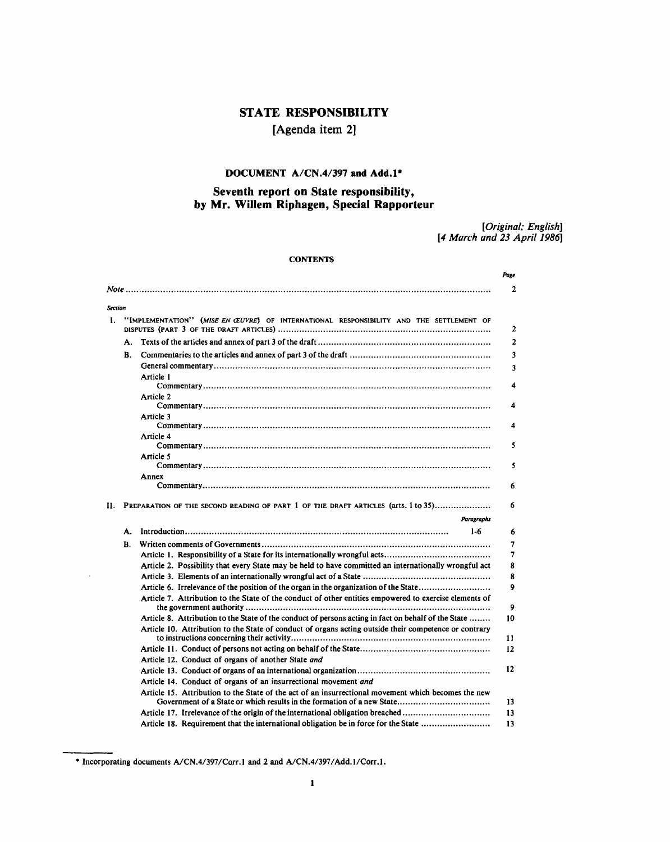# **STATE RESPONSIBILITY [Agenda item 2]**

# **DOCUMENT A/CN.4/397 and Add.l\***

# **Seventh report on State responsibility, by Mr. Willem Riphagen, Special Rapporteur**

*[Original: English] [4 March and 23 April 1986]*

# **CONTENTS**

|         |                                                                                   |                                                                                                        | Page           |  |
|---------|-----------------------------------------------------------------------------------|--------------------------------------------------------------------------------------------------------|----------------|--|
|         |                                                                                   |                                                                                                        | 2              |  |
| Section |                                                                                   |                                                                                                        |                |  |
| L.      |                                                                                   | "IMPLEMENTATION" (MISE EN ŒUVRE) OF INTERNATIONAL RESPONSIBILITY AND THE SETTLEMENT OF                 |                |  |
|         | А.                                                                                |                                                                                                        | $\mathbf{2}$   |  |
|         | В.                                                                                |                                                                                                        | 3              |  |
|         |                                                                                   |                                                                                                        | 3              |  |
|         |                                                                                   | Article 1                                                                                              | 4              |  |
|         |                                                                                   | Article 2                                                                                              | 4              |  |
|         |                                                                                   | Article 3                                                                                              | 4              |  |
|         |                                                                                   | Article 4<br>Article 5                                                                                 | 5              |  |
|         |                                                                                   | Annex                                                                                                  | 5              |  |
|         |                                                                                   |                                                                                                        | 6              |  |
| Н.      | PREPARATION OF THE SECOND READING OF PART 1 OF THE DRAFT ARTICLES (arts. 1 to 35) |                                                                                                        | 6              |  |
|         |                                                                                   | Paragraphs                                                                                             |                |  |
|         | А.                                                                                | $1-6$                                                                                                  | 6              |  |
|         | B.                                                                                |                                                                                                        | $\overline{7}$ |  |
|         |                                                                                   |                                                                                                        | $\overline{7}$ |  |
|         |                                                                                   | Article 2. Possibility that every State may be held to have committed an internationally wrongful act  | 8<br>8         |  |
|         |                                                                                   | Article 6. Irrelevance of the position of the organ in the organization of the State                   | 9              |  |
|         |                                                                                   | Article 7. Attribution to the State of the conduct of other entities empowered to exercise elements of |                |  |
|         |                                                                                   | Article 8. Attribution to the State of the conduct of persons acting in fact on behalf of the State    | 9<br>10        |  |
|         |                                                                                   | Article 10. Attribution to the State of conduct of organs acting outside their competence or contrary  | 11             |  |
|         |                                                                                   |                                                                                                        | 12             |  |
|         |                                                                                   | Article 12. Conduct of organs of another State and                                                     |                |  |
|         |                                                                                   |                                                                                                        | 12             |  |
|         |                                                                                   | Article 14. Conduct of organs of an insurrectional movement and                                        |                |  |
|         |                                                                                   | Article 15. Attribution to the State of the act of an insurrectional movement which becomes the new    |                |  |
|         |                                                                                   |                                                                                                        | 13             |  |
|         |                                                                                   | Article 17. Irrelevance of the origin of the international obligation breached                         | 13             |  |
|         |                                                                                   | Article 18. Requirement that the international obligation be in force for the State                    | 13             |  |

**<sup>•</sup> Incorporating documents A/CN.4/397/Corr.l and 2 and A/CN.4/397/Add.l/Corr.l.**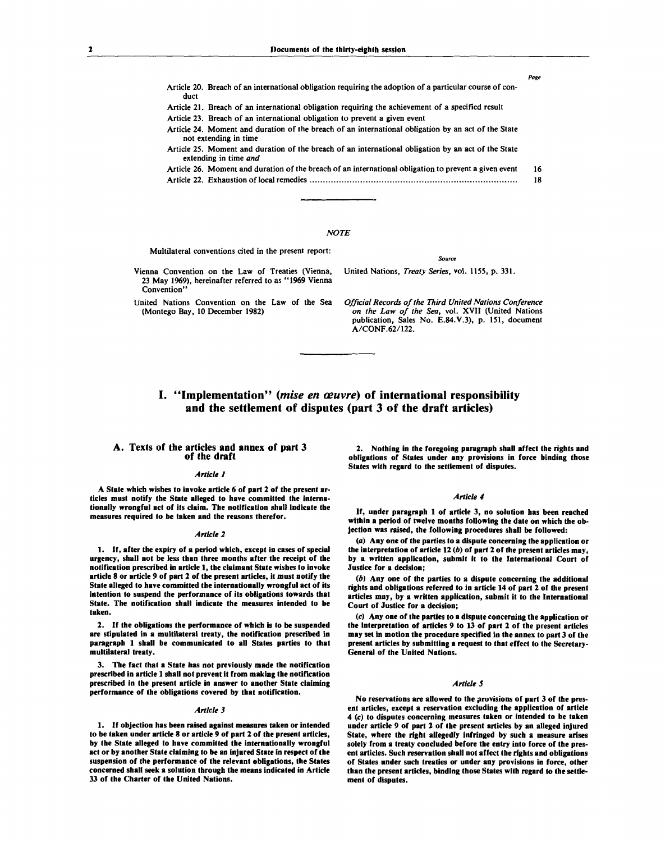Article 20. Breach of an international obligation requiring the adoption of a particular course of conduct

Article 21. Breach of an international obligation requiring the achievement of a specified result Article 23. Breach of an international obligation to prevent a given event

Article 24. Moment and duration of the breach of an international obligation by an act of the State not extending in time

Article 25. Moment and duration of the breach of an international obligation by an act of the State extending in time *and*

| Article 26. Moment and duration of the breach of an international obligation to prevent a given event | -16 |
|-------------------------------------------------------------------------------------------------------|-----|
|                                                                                                       | 18. |

### *NOTE*

Multilateral conventions cited in the present report:

Vienna Convention on the Law of Treaties (Vienna, 23 May 1969), hereinafter referred to as "1969 Vienna Convention"

United Nations Convention on the Law of the Sea (Montego Bay, 10 December 1982)

United Nations, *Treaty Series,* vol. 1155, p. 331.

*Official Records of the Third United Nations Conference on the Law of the Sea,* vol. XVII (United Nations publication, Sales No. E.84.V.3), p. 151, document A/CONF.62/122.

*Source*

# **I. "Implementation"** *(mise en oeuvre)* **of international responsibility and the settlement of disputes (part 3 of the draft articles)**

# **A. Texts of the articles and annex of part 3 of the draft**

#### *Article 1*

**A State which wishes to invoke article 6 of part 2 of the present articles must notify the State alleged to have committed the internationally wrongful act of its claim. The notification shall indicate the measures required to be taken and the reasons therefor.**

#### *Article 2*

**1. If, after the expiry of a period which, except in cases of special urgency, shall not be less than three months after the receipt of the notification prescribed in article 1, the claimant State wishes to invoke article 8 or article 9 of part 2 of the present articles, it must notify the State alleged to have committed the internationally wrongful act of its intention to suspend the performance of its obligations towards that State. The notification shall indicate the measures intended to be taken.**

**2. If the obligations the performance of which is to be suspended are stipulated in a multilateral treaty, the notification prescribed in paragraph 1 shall be communicated to all States parties to that multilateral treaty.**

**3. The fact that a State has not previously made the notification prescribed in article 1 shall not prevent it from making the notification prescribed in the present article in answer to another State claiming performance of the obligations covered by that notification.**

### *Article 3*

**1. If objection has been raised against measures taken or intended to be taken under article 8 or article 9 of part 2 of the present articles, by the State alleged to have committed the internationally wrongful act or by another State claiming to be an injured State in respect of the suspension of the performance of the relevant obligations, the States concerned shall seek a solution through the means indicated in Article 33 of the Charter of the United Nations.**

**2. Nothing in the foregoing paragraph shall affect the rights and obligations of States under any provisions in force binding those States with regard to the settlement of disputes.**

#### *Article 4*

**If, under paragraph 1 of article 3, no solution has been reached within a period of twelve months following the date on which the objection was raised, the following procedures shall be followed:**

*(a)* **Any one of the parties to a dispute concerning the application or the interpretation of article 12 (6) of part 2 of the present articles may, by a written application, submit it to the International Court of Justice for a decision;**

*(b)* **Any one of the parties to a dispute concerning the additional rights and obligations referred to in article 14 of part 2 of the present articles may, by a written application, submit it to the International Court of Justice for a decision;**

**(c) Any one of the parties to a dispute concerning the application or the interpretation of articles 9 to 13 of part 2 of the present articles may set in motion the procedure specified in the annex to part 3 of the present articles by submitting a request to that effect to the Secretary-General of the United Nations.**

#### *Article 5*

**No reservations are allowed to the provisions of part 3 of the present articles, except a reservation excluding the application of article 4 (c) to disputes concerning measures taken or intended to be taken under article 9 of part 2 of the present articles by an alleged injured State, where the right allegedly infringed by such a measure arises solely from a treaty concluded before the entry into force of the present articles. Such reservation shall not affect the rights and obligations of States under such treaties or under any provisions in force, other than the present articles, binding those States with regard to the settlement of disputes.**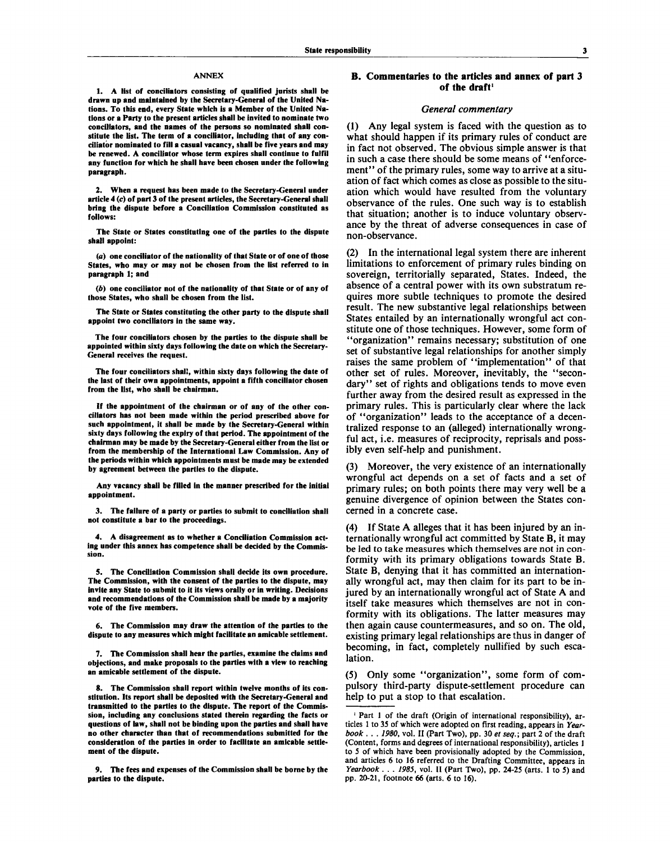# **ANNEX**

**1. A list of conciliators consisting of qualified jurists shall be drawn up and maintained by the Secretary-General of the United Nations. To this end, every State which is a Member of the United Nations or a Party to the present articles shall be invited to nominate two conciliators, and the names of the persons so nominated shall constitute the list. The term of a conciliator, including that of any conciliator nominated to fill a casual vacancy, shall be five years and may be renewed. A conciliator whose term expires shall continue to fulfil any function for which he shall have been chosen under the following paragraph.**

**2. When a request has been made to the Secretary-General under article 4 (c) of part 3 of the present articles, the Secretary-General shall bring the dispute before a Conciliation Commission constituted as follows:**

**The State or States constituting one of the parties to the dispute shall appoint:**

**(a) one conciliator of the nationality of that State or of one of those States, who may or may not be chosen from the list referred to in paragraph 1; and**

*(b)* **one conciliator not of the nationality of that State or of any of those States, who shall be chosen from the list.**

**The State or States constituting the other party to the dispute shall appoint two conciliators in the same way.**

**The four conciliators chosen by the parties to the dispute shall be appointed within sixty days following the date on which the Secretary-General receives the request.**

**The four conciliators shall, within sixty days following the date of the last of their own appointments, appoint a fifth conciliator chosen from the list, who shall be chairman.**

**If the appointment of the chairman or of any of the other conciliators has not been made within the period prescribed above for such appointment, it shall be made by the Secretary-General within sixty days following the expiry of that period. The appointment of the chairman may be made by the Secretary-General either from the list or from the membership of the International Law Commission. Any of the periods within which appointments must be made may be extended by agreement between the parties to the dispute.**

**Any vacancy shall be filled in the manner prescribed for the initial appointment.**

**3. The failure of a party or parties to submit to conciliation shall not constitute a bar to the proceedings.**

**4. A disagreement as to whether a Conciliation Commission acting under this annex has competence shall be decided by the Commis-**

**5. The Conciliation Commission shall decide its own procedure. The Commission, with the consent of the parties to the dispute, may invite any State to submit to it its views orally or in writing. Decisions and recommendations of the Commission shall be made by a majority vote of the five members.**

**6. The Commission may draw the attention of the parties to the dispute to any measures which might facilitate an amicable settlement.**

**7. The Commission shall hear the parties, examine the claims and objections, and make proposals to the parties with a view to reaching an amicable settlement of the dispute.**

**8. The Commission shall report within twelve months of its constitution. Its report shall be deposited with the Secretary-General and transmitted to the parties to the dispute. The report of the Commission, including any conclusions stated therein regarding the facts or questions of law, shall not be binding upon the parties and shall have no other character than that of recommendations submitted for the consideration of the parties in order to facilitate an amicable settlement of the dispute.**

**9. The fees and expenses of the Commission shall be borne by the parties to the dispute.**

# **B. Commentaries to the articles and annex of part 3 of the draft<sup>1</sup>**

# *General commentary*

(1) Any legal system is faced with the question as to what should happen if its primary rules of conduct are in fact not observed. The obvious simple answer is that in such a case there should be some means of "enforcement" of the primary rules, some way to arrive at a situation of fact which comes as close as possible to the situation which would have resulted from the voluntary observance of the rules. One such way is to establish that situation; another is to induce voluntary observance by the threat of adverse consequences in case of non-observance.

(2) In the international legal system there are inherent limitations to enforcement of primary rules binding on sovereign, territorially separated, States. Indeed, the absence of a central power with its own substratum requires more subtle techniques to promote the desired result. The new substantive legal relationships between States entailed by an internationally wrongful act constitute one of those techniques. However, some form of "organization" remains necessary; substitution of one set of substantive legal relationships for another simply raises the same problem of "implementation" of that other set of rules. Moreover, inevitably, the "secondary" set of rights and obligations tends to move even further away from the desired result as expressed in the primary rules. This is particularly clear where the lack of "organization" leads to the acceptance of a decentralized response to an (alleged) internationally wrongful act, i.e. measures of reciprocity, reprisals and possibly even self-help and punishment.

(3) Moreover, the very existence of an internationally wrongful act depends on a set of facts and a set of primary rules; on both points there may very well be a genuine divergence of opinion between the States concerned in a concrete case.

(4) If State A alleges that it has been injured by an internationally wrongful act committed by State B, it may be led to take measures which themselves are not in conformity with its primary obligations towards State B. State B, denying that it has committed an internationally wrongful act, may then claim for its part to be injured by an internationally wrongful act of State A and itself take measures which themselves are not in conformity with its obligations. The latter measures may then again cause countermeasures, and so on. The old, existing primary legal relationships are thus in danger of becoming, in fact, completely nullified by such escalation.

(5) Only some "organization", some form of compulsory third-party dispute-settlement procedure can help to put a stop to that escalation.

<sup>&</sup>lt;sup>1</sup> Part 1 of the draft (Origin of international responsibility), ar**ticles 1 to 35 of which were adopted on first reading, appears in** *Yearbook . . . 1980,* **vol. II (Part Two), pp. 30** *et seq.;* **part 2 of the draft (Content, forms and degrees of international responsibility), articles 1 to 5 of which have been provisionally adopted by the Commission, and articles 6 to 16 referred to the Drafting Committee, appears in** *Yearbook. . . 1985,* **vol. II (Part Two), pp. 24-25 (arts. 1 to 5) and pp. 20-21, footnote 66 (arts. 6 to 16).**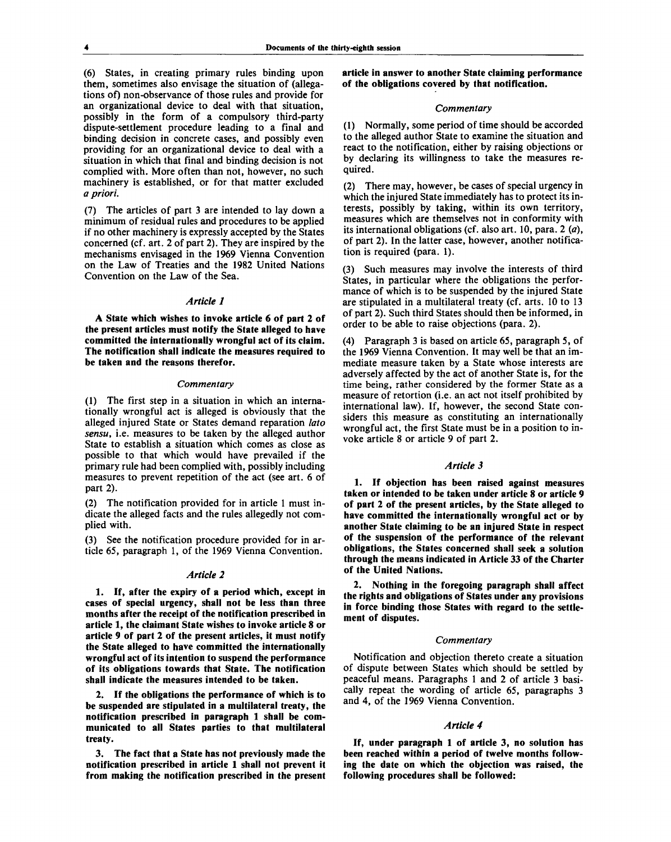(6) States, in creating primary rules binding upon them, sometimes also envisage the situation of (allegations of) non-observance of those rules and provide for an organizational device to deal with that situation, possibly in the form of a compulsory third-party dispute-settlement procedure leading to a final and binding decision in concrete cases, and possibly even providing for an organizational device to deal with a situation in which that final and binding decision is not complied with. More often than not, however, no such machinery is established, or for that matter excluded *a priori.*

(7) The articles of part 3 are intended to lay down a minimum of residual rules and procedures to be applied if no other machinery is expressly accepted by the States concerned (cf. art. 2 of part 2). They are inspired by the mechanisms envisaged in the 1969 Vienna Convention on the Law of Treaties and the 1982 United Nations Convention on the Law of the Sea.

# *Article 1*

**A State which wishes to invoke article 6 of part 2 of the present articles must notify the State alleged to have committed the internationally wrongful act of its claim. The notification shall indicate the measures required to be taken and the reasons therefor.**

# *Commentary*

(1) The first step in a situation in which an internationally wrongful act is alleged is obviously that the alleged injured State or States demand reparation *lato sensu,* i.e. measures to be taken by the alleged author State to establish a situation which comes as close as possible to that which would have prevailed if the primary rule had been complied with, possibly including measures to prevent repetition of the act (see art. 6 of part 2).

(2) The notification provided for in article 1 must indicate the alleged facts and the rules allegedly not complied with.

(3) See the notification procedure provided for in article 65, paragraph 1, of the 1969 Vienna Convention.

# *Article 2*

**1. If, after the expiry of a period which, except in cases of special urgency, shall not be less than three months after the receipt of the notification prescribed in article 1, the claimant State wishes to invoke article 8 or article 9 of part 2 of the present articles, it must notify the State alleged to have committed the internationally wrongful act of its intention to suspend the performance of its obligations towards that State. The notification shall indicate the measures intended to be taken.**

**2. If the obligations the performance of which is to be suspended are stipulated in a multilateral treaty, the notification prescribed in paragraph 1 shall be communicated to all States parties to that multilateral treaty.**

**3. The fact that a State has not previously made the notification prescribed in article 1 shall not prevent it from making the notification prescribed in the present**

**article in answer to another State claiming performance of the obligations covered by that notification.**

# *Commentary*

(1) Normally, some period of time should be accorded to the alleged author State to examine the situation and react to the notification, either by raising objections or by declaring its willingness to take the measures required.

(2) There may, however, be cases of special urgency in which the injured State immediately has to protect its interests, possibly by taking, within its own territory, measures which are themselves not in conformity with its international obligations (cf. also art. 10, para. 2 *(a),* of part 2). In the latter case, however, another notification is required (para. 1).

(3) Such measures may involve the interests of third States, in particular where the obligations the performance of which is to be suspended by the injured State are stipulated in a multilateral treaty (cf. arts. 10 to 13 of part 2). Such third States should then be informed, in order to be able to raise objections (para. 2).

(4) Paragraph 3 is based on article 65, paragraph 5, of the 1969 Vienna Convention. It may well be that an immediate measure taken by a State whose interests are adversely affected by the act of another State is, for the time being, rather considered by the former State as a measure of retortion (i.e. an act not itself prohibited by international law). If, however, the second State considers this measure as constituting an internationally wrongful act, the first State must be in a position to invoke article 8 or article 9 of part 2.

# *Article 3*

**1. If objection has been raised against measures taken or intended to be taken under article 8 or article 9 of part 2 of the present articles, by the State alleged to have committed the internationally wrongful act or by another State claiming to be an injured State in respect of the suspension of the performance of the relevant obligations, the States concerned shall seek a solution through the means indicated in Article 33 of the Charter of the United Nations.**

**2. Nothing in the foregoing paragraph shall affect the rights and obligations of States under any provisions in force binding those States with regard to the settlement of disputes.**

### *Commentary*

Notification and objection thereto create a situation of dispute between States which should be settled by peaceful means. Paragraphs 1 and 2 of article 3 basically repeat the wording of article 65, paragraphs 3 and 4, of the 1969 Vienna Convention.

# *Article 4*

**If, under paragraph 1 of article 3, no solution has been reached within a period of twelve months following the date on which the objection was raised, the following procedures shall be followed:**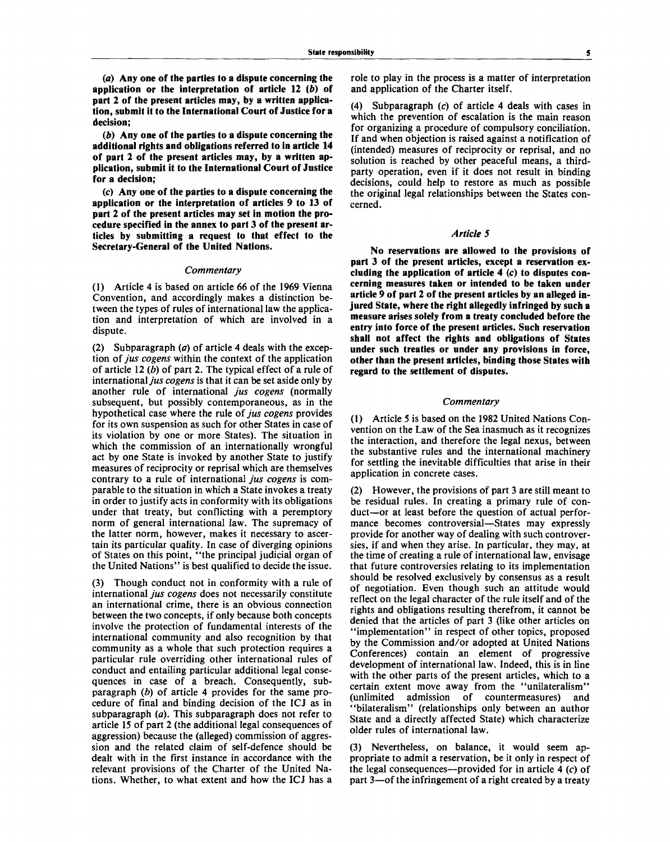*(b)* **Any one of the parties to a dispute concerning the additional rights and obligations referred to in article 14 of part 2 of the present articles may, by a written application, submit it to the International Court of Justice for a decision;**

**(c) Any one of the parties to a dispute concerning the application or the interpretation of articles 9 to 13 of part 2 of the present articles may set in motion the procedure specified in the annex to part 3 of the present articles by submitting a request to that effect to the Secretary-General of the United Nations.**

## *Commentary*

(1) Article 4 is based on article 66 of the 1969 Vienna Convention, and accordingly makes a distinction between the types of rules of international law the application and interpretation of which are involved in a dispute.

(2) Subparagraph *(a)* of article 4 deals with the exception of *jus cogens* within the context of the application of article 12 *(b)* of part 2. The typical effect of a rule of international *jus cogens* is that it can be set aside only by another rule of international *jus cogens* (normally subsequent, but possibly contemporaneous, as in the hypothetical case where the rule of *jus cogens* provides for its own suspension as such for other States in case of its violation by one or more States). The situation in which the commission of an internationally wrongful act by one State is invoked by another State to justify measures of reciprocity or reprisal which are themselves contrary to a rule of international *jus cogens* is comparable to the situation in which a State invokes a treaty in order to justify acts in conformity with its obligations under that treaty, but conflicting with a peremptory norm of general international law. The supremacy of the latter norm, however, makes it necessary to ascertain its particular quality. In case of diverging opinions of States on this point, "the principal judicial organ of the United Nations" is best qualified to decide the issue.

(3) Though conduct not in conformity with a rule of international *jus cogens* does not necessarily constitute an international crime, there is an obvious connection between the two concepts, if only because both concepts involve the protection of fundamental interests of the international community and also recognition by that community as a whole that such protection requires a particular rule overriding other international rules of conduct and entailing particular additional legal consequences in case of a breach. Consequently, subparagraph *(b)* of article 4 provides for the same procedure of final and binding decision of the ICJ as in subparagraph  $(a)$ . This subparagraph does not refer to article 15 of part 2 (the additional legal consequences of aggression) because the (alleged) commission of aggression and the related claim of self-defence should be dealt with in the first instance in accordance with the relevant provisions of the Charter of the United Nations. Whether, to what extent and how the ICJ has a role to play in the process is a matter of interpretation and application of the Charter itself.

(4) Subparagraph (c) of article 4 deals with cases in which the prevention of escalation is the main reason for organizing a procedure of compulsory conciliation. If and when objection is raised against a notification of (intended) measures of reciprocity or reprisal, and no solution is reached by other peaceful means, a thirdparty operation, even if it does not result in binding decisions, could help to restore as much as possible the original legal relationships between the States concerned.

# *Article 5*

**No reservations are allowed to the provisions of part 3 of the present articles, except a reservation excluding the application of article 4 (c) to disputes concerning measures taken or intended to be taken under article 9 of part 2 of the present articles by an alleged injured State, where the right allegedly infringed by such a measure arises solely from a treaty concluded before the entry into force of the present articles. Such reservation shall not affect the rights and obligations of States under such treaties or under any provisions in force, other than the present articles, binding those States with regard to the settlement of disputes.**

# *Commentary*

**(1)** Article 5 is based on the 1982 United Nations Convention on the Law of the Sea inasmuch as it recognizes the interaction, and therefore the legal nexus, between the substantive rules and the international machinery for settling the inevitable difficulties that arise in their application in concrete cases.

(2) However, the provisions of part 3 are still meant to be residual rules. In creating a primary rule of conduct—or at least before the question of actual performance becomes controversial—States may expressly provide for another way of dealing with such controversies, if and when they arise. In particular, they may, at the time of creating a rule of international law, envisage that future controversies relating to its implementation should be resolved exclusively by consensus as a result of negotiation. Even though such an attitude would reflect on the legal character of the rule itself and of the rights and obligations resulting therefrom, it cannot be denied that the articles of part 3 (like other articles on "implementation" in respect of other topics, proposed by the Commission and/or adopted at United Nations Conferences) contain an element of progressive development of international law. Indeed, this is in line with the other parts of the present articles, which to a certain extent move away from the "unilateralism"<br>(unlimited admission of countermeasures) and of countermeasures) and "bilateralism" (relationships only between an author State and a directly affected State) which characterize older rules of international law.

(3) Nevertheless, on balance, it would seem appropriate to admit a reservation, be it only in respect of the legal consequences—provided for in article 4 (c) of part 3—of the infringement of a right created by a treaty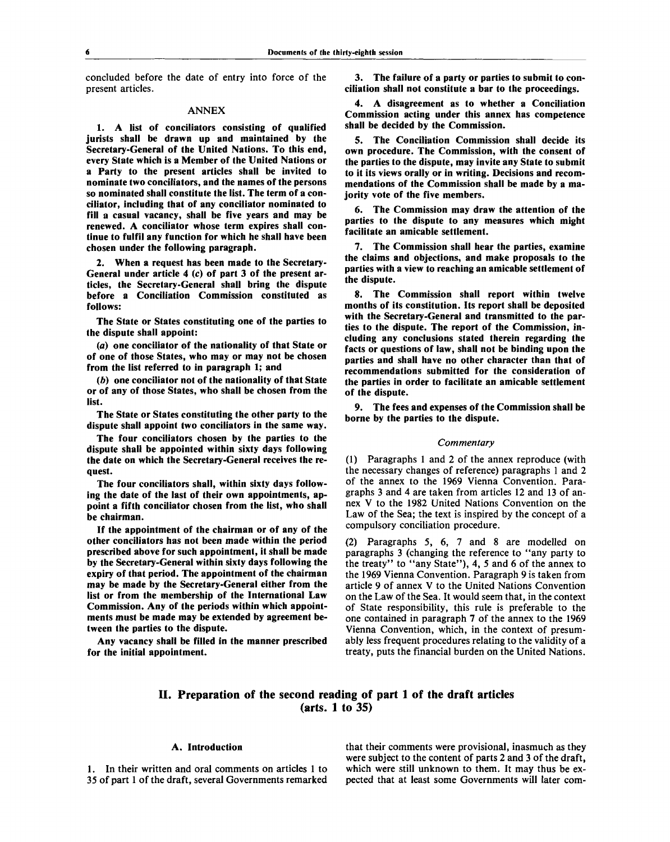concluded before the date of entry into force of the present articles.

# ANNEX

**1. A list of conciliators consisting of qualified jurists shall be drawn up and maintained by the Secretary-General of the United Nations. To this end, every State which is a Member of the United Nations or a Party to the present articles shall be invited to nominate two conciliators, and the names of the persons so nominated shall constitute the list. The term of a conciliator, including that of any conciliator nominated to fill a casual vacancy, shall be five years and may be renewed. A conciliator whose term expires shall continue to fulfil any function for which he shall have been chosen under the following paragraph.**

**2. When a request has been made to the Secretary-General under article 4 (c) of part 3 of the present articles, the Secretary-General shall bring the dispute before a Conciliation Commission constituted as follows:**

**The State or States constituting one of the parties to the dispute shall appoint:**

*(a)* **one conciliator of the nationality of that State or of one of those States, who may or may not be chosen from the list referred to in paragraph 1; and**

*(b)* **one conciliator not of the nationality of that State or of any of those States, who shall be chosen from the list.**

**The State or States constituting the other party to the dispute shall appoint two conciliators in the same way.**

**The four conciliators chosen by the parties to the dispute shall be appointed within sixty days following the date on which the Secretary-General receives the request.**

**The four conciliators shall, within sixty days following the date of the last of their own appointments, appoint a fifth conciliator chosen from the list, who shall be chairman.**

**If the appointment of the chairman or of any of the other conciliators has not been made within the period prescribed above for such appointment, it shall be made by the Secretary-General within sixty days following the expiry of that period. The appointment of the chairman may be made by the Secretary-General either from the list or from the membership of the International Law Commission. Any of the periods within which appointments must be made may be extended by agreement between the parties to the dispute.**

**Any vacancy shall be filled in the manner prescribed for the initial appointment.**

**3. The failure of a party or parties to submit to conciliation shall not constitute a bar to the proceedings.**

**4. A disagreement as to whether a Conciliation Commission acting under this annex has competence shall be decided by the Commission.**

**5. The Conciliation Commission shall decide its own procedure. The Commission, with the consent of the parties to the dispute, may invite any State to submit to it its views orally or in writing. Decisions and recommendations of the Commission shall be made by a majority vote of the five members.**

**6. The Commission may draw the attention of the parties to the dispute to any measures which might facilitate an amicable settlement.**

**7. The Commission shall hear the parties, examine the claims and objections, and make proposals to the parties with a view to reaching an amicable settlement of the dispute.**

**8. The Commission shall report within twelve months of its constitution. Its report shall be deposited with the Secretary-General and transmitted to the parties to the dispute. The report of the Commission, including any conclusions stated therein regarding the facts or questions of law, shall not be binding upon the parties and shall have no other character than that of recommendations submitted for the consideration of the parties in order to facilitate an amicable settlement of the dispute.**

**9. The fees and expenses of the Commission shall be borne by the parties to the dispute.**

### *Commentary*

(1) Paragraphs 1 and 2 of the annex reproduce (with the necessary changes of reference) paragraphs 1 and 2 of the annex to the 1969 Vienna Convention. Paragraphs 3 and 4 are taken from articles 12 and 13 of annex V to the 1982 United Nations Convention on the Law of the Sea; the text is inspired by the concept of a compulsory conciliation procedure.

(2) Paragraphs 5, 6, 7 and 8 are modelled on paragraphs 3 (changing the reference to "any party to the treaty" to "any State"), 4, 5 and 6 of the annex to the 1969 Vienna Convention. Paragraph 9 is taken from article 9 of annex V to the United Nations Convention on the Law of the Sea. It would seem that, in the context of State responsibility, this rule is preferable to the one contained in paragraph 7 of the annex to the 1969 Vienna Convention, which, in the context of presumably less frequent procedures relating to the validity of a treaty, puts the financial burden on the United Nations.

# **II. Preparation of the second reading of part 1 of the draft articles (arts. 1 to 35)**

# **A. Introduction**

1. In their written and oral comments on articles 1 to 35 of part 1 of the draft, several Governments remarked that their comments were provisional, inasmuch as they were subject to the content of parts 2 and 3 of the draft, which were still unknown to them. It may thus be expected that at least some Governments will later com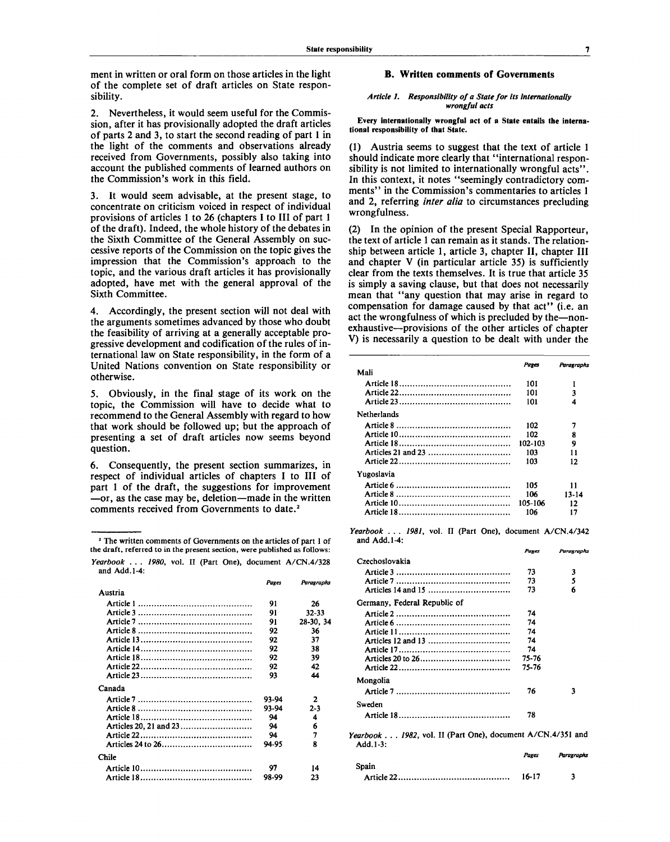ment in written or oral form on those articles in the light of the complete set of draft articles on State responsibility.

2. Nevertheless, it would seem useful for the Commission, after it has provisionally adopted the draft articles of parts 2 and 3, to start the second reading of part 1 in the light of the comments and observations already received from Governments, possibly also taking into account the published comments of learned authors on the Commission's work in this field.

3. It would seem advisable, at the present stage, to concentrate on criticism voiced in respect of individual provisions of articles 1 to 26 (chapters I to III of part 1 of the draft). Indeed, the whole history of the debates in the Sixth Committee of the General Assembly on successive reports of the Commission on the topic gives the impression that the Commission's approach to the topic, and the various draft articles it has provisionally adopted, have met with the general approval of the Sixth Committee.

4. Accordingly, the present section will not deal with the arguments sometimes advanced by those who doubt the feasibility of arriving at a generally acceptable progressive development and codification of the rules of international law on State responsibility, in the form of a United Nations convention on State responsibility or otherwise.

5. Obviously, in the final stage of its work on the topic, the Commission will have to decide what to recommend to the General Assembly with regard to how that work should be followed up; but the approach of presenting a set of draft articles now seems beyond question.

6. Consequently, the present section summarizes, in respect of individual articles of chapters I to III of part 1 of the draft, the suggestions for improvement —or, as the case may be, deletion—made in the written comments received from Governments to date.<sup>2</sup>

2 The written comments of Governments on the articles of part **1** of the draft, referred to in the present section, were published as follows: *Yearbook . . . 1980,* vol. II (Part One), document A/CN.4/328 and Add. 1-4:

|                        | Pares | Paraeraohs |
|------------------------|-------|------------|
| Austria                |       |            |
|                        | 91    | 26         |
|                        | 91    | 32-33      |
|                        | 91    | 28-30, 34  |
|                        | 92    | 36         |
|                        | 92    | 37         |
|                        | 92    | 38         |
|                        | 92    | 39         |
|                        | 92    | 42         |
|                        | 93    | 44         |
| Canada                 |       |            |
|                        | 93-94 | 2          |
|                        | 93-94 | $2 - 3$    |
|                        | 94    | 4          |
| Articles 20, 21 and 23 | 94    | 6          |
|                        | 94    | 7          |
|                        | 94-95 | 8          |
| Chile                  |       |            |
|                        | 97    | 14         |
|                        | 98-99 | 23         |

# **B. Written comments of Governments**

# *Article 1. Responsibility of a State for its internationally wrongful acts*

**Every internationally wrongful act of a State entails the international responsibility of that State.**

(1) Austria seems to suggest that the text of article 1 should indicate more clearly that "international responsibility is not limited to internationally wrongful acts". In this context, it notes "seemingly contradictory comments" in the Commission's commentaries to articles 1 and 2, referring *inter alia* to circumstances precluding wrongfulness.

(2) In the opinion of the present Special Rapporteur, the text of article 1 can remain as it stands. The relationship between article 1, article 3, chapter II, chapter **III** and chapter V (in particular article 35) is sufficiently clear from the texts themselves. It is true that article 35 is simply a saving clause, but that does not necessarily mean that "any question that may arise in regard to compensation for damage caused by that act" (i.e. an act the wrongfulness of which is precluded by the—nonexhaustive—provisions of the other articles of chapter V) is necessarily a question to be dealt with under the

|             | Pares   | Paragraphs |
|-------------|---------|------------|
| Mali        |         |            |
|             | 101     |            |
|             | 101     |            |
|             | 101     | 4          |
| Netherlands |         |            |
|             | 102     |            |
|             | 102     | 8          |
|             | 102-103 | 9          |
|             | 103     | 11         |
|             | 103     | 12         |
| Yugoslavia  |         |            |
|             | 105     | 11         |
|             | 106     | 13-14      |
|             | 105-106 | 12         |
|             | 106     | 17         |

*Yearbook . . . 1981,* vol. II (Part One), document A/CN.4/342 and Add. 1-4:

|                                                                          | Pages | Paragraphy |
|--------------------------------------------------------------------------|-------|------------|
| Czechoslovakia                                                           |       |            |
|                                                                          | 73    | 3          |
|                                                                          | 73    | 5          |
|                                                                          | 73    | 6          |
| Germany, Federal Republic of                                             |       |            |
|                                                                          | 74    |            |
|                                                                          | 74    |            |
|                                                                          | 74    |            |
|                                                                          | 74    |            |
|                                                                          | 74    |            |
|                                                                          | 75-76 |            |
|                                                                          | 75-76 |            |
| Mongolia                                                                 |       |            |
|                                                                          | 76    | 3          |
| Sweden                                                                   |       |            |
|                                                                          | 78    |            |
| Yearbook 1982, vol. II (Part One), document A/CN.4/351 and<br>$Add.1-3:$ |       |            |
|                                                                          | Pages | Paragraphs |
| Spain                                                                    |       |            |
|                                                                          |       |            |

**Article22 16-17** 3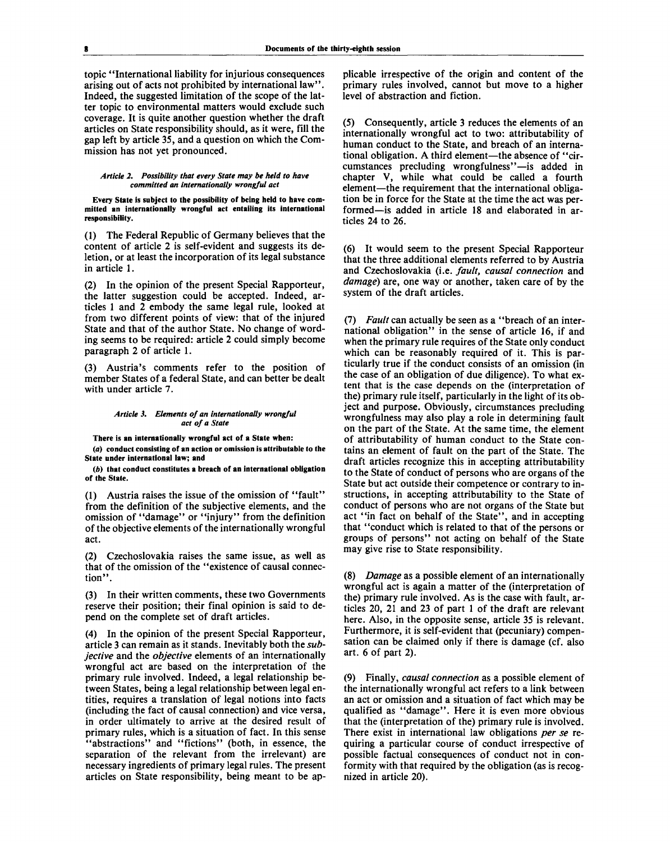topic "International liability for injurious consequences arising out of acts not prohibited by international law". Indeed, the suggested limitation of the scope of the latter topic to environmental matters would exclude such coverage. It is quite another question whether the draft articles on State responsibility should, as it were, fill the gap left by article 35, and a question on which the Commission has not yet pronounced.

## *Article 2. Possibility that every State may be held to have committed an internationally wrongful act*

**Every State is subject to the possibility of being held to have committed an internationally wrongful act entailing its international responsibility.**

(1) The Federal Republic of Germany believes that the content of article 2 is self-evident and suggests its deletion, or at least the incorporation of its legal substance in article 1.

(2) In the opinion of the present Special Rapporteur, the latter suggestion could be accepted. Indeed, articles 1 and 2 embody the same legal rule, looked at from two different points of view: that of the injured State and that of the author State. No change of wording seems to be required: article 2 could simply become paragraph 2 of article 1.

(3) Austria's comments refer to the position of member States of a federal State, and can better be dealt with under article 7.

### *Article 3. Elements of an internationally wrongful act of a State*

**There is an internationally wrongful act of a State when:**

*(a)* **conduct consisting of an action or omission is attributable to the State under international law; and**

*(b)* **that conduct constitutes a breach of an international obligation of the State.**

(1) Austria raises the issue of the omission of "fault" from the definition of the subjective elements, and the omission of "damage" or "injury" from the definition of the objective elements of the internationally wrongful act.

(2) Czechoslovakia raises the same issue, as well as that of the omission of the "existence of causal connection".

(3) In their written comments, these two Governments reserve their position; their final opinion is said to depend on the complete set of draft articles.

(4) In the opinion of the present Special Rapporteur, article 3 can remain as it stands. Inevitably both the *subjective* and the *objective* elements of an internationally wrongful act are based on the interpretation of the primary rule involved. Indeed, a legal relationship between States, being a legal relationship between legal entities, requires a translation of legal notions into facts (including the fact of causal connection) and vice versa, in order ultimately to arrive at the desired result of primary rules, which is a situation of fact. In this sense "abstractions" and "fictions" (both, in essence, the separation of the relevant from the irrelevant) are necessary ingredients of primary legal rules. The present articles on State responsibility, being meant to be applicable irrespective of the origin and content of the primary rules involved, cannot but move to a higher level of abstraction and fiction.

(5) Consequently, article 3 reduces the elements of an internationally wrongful act to two: attributability of human conduct to the State, and breach of an international obligation. A third element—the absence of "circumstances precluding wrongfulness"—is added in chapter V, while what could be called a fourth element—the requirement that the international obligation be in force for the State at the time the act was performed—is added in article 18 and elaborated in articles 24 to 26.

(6) It would seem to the present Special Rapporteur that the three additional elements referred to by Austria and Czechoslovakia (i.e. *fault, causal connection* and *damage)* are, one way or another, taken care of by the system of the draft articles.

(7) *Fault* can actually be seen as a "breach of an international obligation" in the sense of article 16, if and when the primary rule requires of the State only conduct which can be reasonably required of it. This is particularly true if the conduct consists of an omission (in the case of an obligation of due diligence). To what extent that is the case depends on the (interpretation of the) primary rule itself, particularly in the light of its object and purpose. Obviously, circumstances precluding wrongfulness may also play a role in determining fault on the part of the State. At the same time, the element of attributability of human conduct to the State contains an element of fault on the part of the State. The draft articles recognize this in accepting attributability to the State of conduct of persons who are organs of the State but act outside their competence or contrary to instructions, in accepting attributability to the State of conduct of persons who are not organs of the State but act "in fact on behalf of the State", and in accepting that "conduct which is related to that of the persons or groups of persons" not acting on behalf of the State may give rise to State responsibility.

(8) *Damage* as a possible element of an internationally wrongful act is again a matter of the (interpretation of the) primary rule involved. As is the case with fault, articles 20, 21 and 23 of part 1 of the draft are relevant here. Also, in the opposite sense, article 35 is relevant. Furthermore, it is self-evident that (pecuniary) compensation can be claimed only if there is damage (cf. also art. 6 of part 2).

(9) Finally, *causal connection* as a possible element of the internationally wrongful act refers to a link between an act or omission and a situation of fact which may be qualified as "damage". Here it is even more obvious that the (interpretation of the) primary rule is involved. There exist in international law obligations *per se* requiring a particular course of conduct irrespective of possible factual consequences of conduct not in conformity with that required by the obligation (as is recognized in article 20).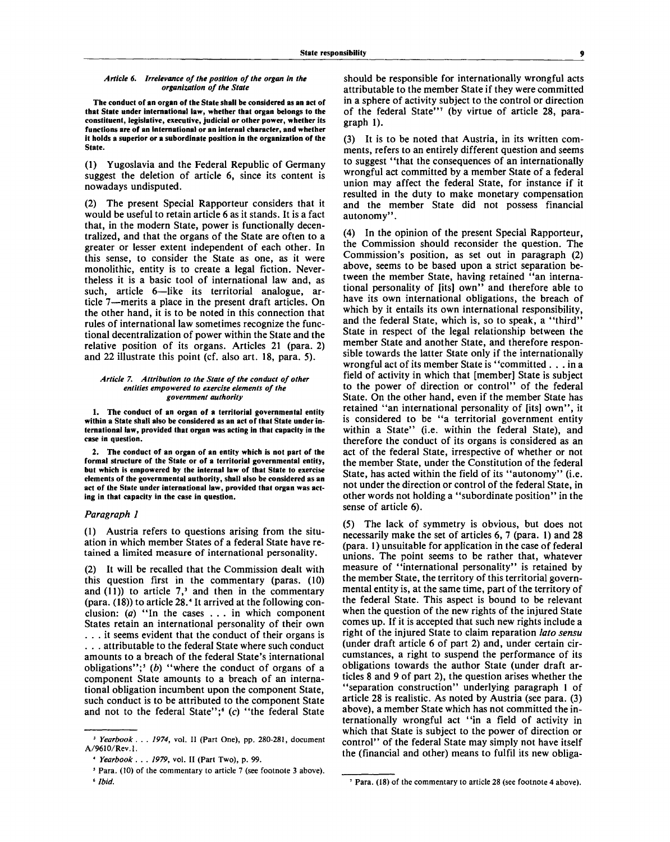### *Article 6. Irrelevance of the position of the organ in the organization of the State*

**The conduct of an organ of the State shall be considered as an act of that State under international law, whether that organ belongs to the constituent, legislative, executive, judicial or other power, whether its functions are of an international or an internal character, and whether it holds a superior or a subordinate position in the organization of the State.**

(1) Yugoslavia and the Federal Republic of Germany suggest the deletion of article 6, since its content is nowadays undisputed.

(2) The present Special Rapporteur considers that it would be useful to retain article 6 as it stands. It is a fact that, in the modern State, power is functionally decentralized, and that the organs of the State are often to a greater or lesser extent independent of each other. In this sense, to consider the State as one, as it were monolithic, entity is to create a legal fiction. Nevertheless it is a basic tool of international law and, as such, article 6—like its territorial analogue, article 7—merits a place in the present draft articles. On the other hand, it is to be noted in this connection that rules of international law sometimes recognize the functional decentralization of power within the State and the relative position of its organs. Articles 21 (para. 2) and 22 illustrate this point (cf. also art. 18, para. 5).

#### *Article 7. Attribution to the State of the conduct of other entities empowered to exercise elements of the government authority*

**1. The conduct of an organ of a territorial governmental entity within a State shall also be considered as an act of that State under international law, provided that organ was acting in that capacity in the case in question.**

**2. The conduct of an organ of an entity which is not part of the formal structure of the State or of a territorial governmental entity, but which is empowered by the internal law of that State to exercise elements of the governmental authority, shall also be considered as an act of the State under international law, provided that organ was acting in that capacity in the case in question.**

# *Paragraph 1*

(1) Austria refers to questions arising from the situation in which member States of a federal State have retained a limited measure of international personality.

(2) It will be recalled that the Commission dealt with this question first in the commentary (paras. (10) and  $(11)$ ) to article 7,<sup>3</sup> and then in the commentary (para.  $(18)$ ) to article 28.<sup>4</sup> It arrived at the following conclusion: *(a)* "In the cases .. . in which component States retain an international personality of their own . . . it seems evident that the conduct of their organs is . . . attributable to the federal State where such conduct amounts to a breach of the federal State's international obligations";<sup>5</sup> (b) "where the conduct of organs of a component State amounts to a breach of an international obligation incumbent upon the component State, such conduct is to be attributed to the component State and not to the federal State";<sup>6</sup> (c) "the federal State"

should be responsible for internationally wrongful acts attributable to the member State if they were committed in a sphere of activity subject to the control or direction of the federal State"<sup>7</sup> (by virtue of article 28, paragraph 1).

(3) It is to be noted that Austria, in its written comments, refers to an entirely different question and seems to suggest "that the consequences of an internationally wrongful act committed by a member State of a federal union may affect the federal State, for instance if it resulted in the duty to make monetary compensation and the member State did not possess financial autonomy".

(4) In the opinion of the present Special Rapporteur, the Commission should reconsider the question. The Commission's position, as set out in paragraph (2) above, seems to be based upon a strict separation between the member State, having retained "an international personality of [its] own" and therefore able to have its own international obligations, the breach of which by it entails its own international responsibility, and the federal State, which is, so to speak, a "third" State in respect of the legal relationship between the member State and another State, and therefore responsible towards the latter State only if the internationally wrongful act of its member State is "committed . . . in a field of activity in which that [member] State is subject to the power of direction or control" of the federal State. On the other hand, even if the member State has retained "an international personality of [its] own", it is considered to be "a territorial government entity within a State" (i.e. within the federal State), and therefore the conduct of its organs is considered as an act of the federal State, irrespective of whether or not the member State, under the Constitution of the federal State, has acted within the field of its "autonomy" (i.e. not under the direction or control of the federal State, in other words not holding a "subordinate position" in the sense of article 6).

(5) The lack of symmetry is obvious, but does not necessarily make the set of articles 6, 7 (para. 1) and 28 (para. 1) unsuitable for application in the case of federal unions. The point seems to be rather that, whatever measure of "international personality" is retained by the member State, the territory of this territorial governmental entity is, at the same time, part of the territory of the federal State. This aspect is bound to be relevant when the question of the new rights of the injured State comes up. If it is accepted that such new rights include a right of the injured State to claim reparation *lato sensu* (under draft article 6 of part 2) and, under certain circumstances, a right to suspend the performance of its obligations towards the author State (under draft articles 8 and 9 of part 2), the question arises whether the "separation construction" underlying paragraph 1 of article 28 is realistic. As noted by Austria (see para. (3) above), a member State which has not committed the internationally wrongful act "in a field of activity in which that State is subject to the power of direction or control" of the federal State may simply not have itself the (financial and other) means to fulfil its new obliga-

<sup>3</sup>  *Yearbook . . . 1974,* vol. II (Part One), pp. 280-281, document A/9610/Rev.l.

<sup>4</sup>  *Yearbook . . . 1979,* vol. II (Part Two), p. 99.

<sup>&</sup>lt;sup>3</sup> Para. (10) of the commentary to article 7 (see footnote 3 above). 6  *Ibid.*

<sup>7</sup> Para. (18) of the commentary to article 28 (see footnote 4 above).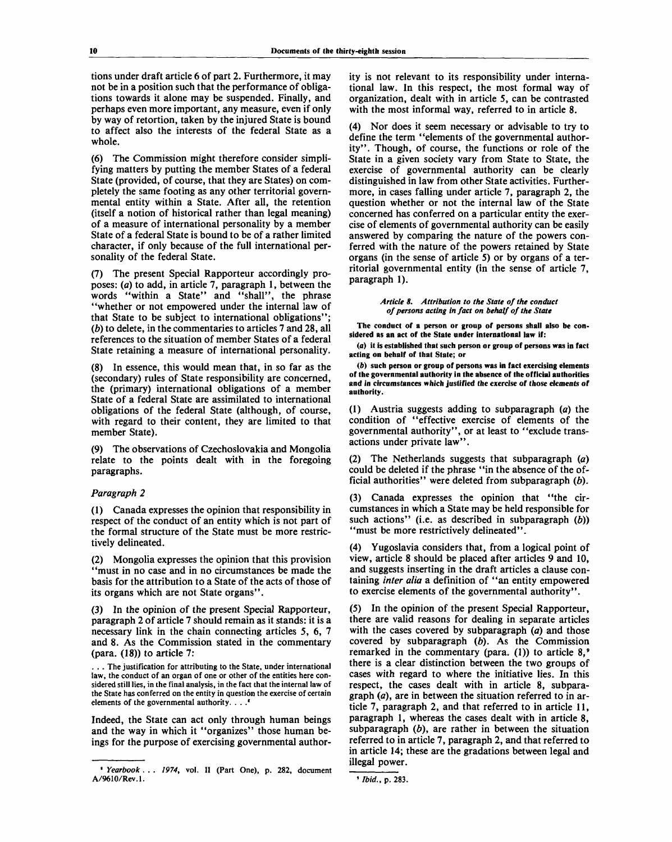tions under draft article 6 of part 2. Furthermore, it may not be in a position such that the performance of obligations towards it alone may be suspended. Finally, and perhaps even more important, any measure, even if only by way of retortion, taken by the injured State is bound to affect also the interests of the federal State as a whole.

(6) The Commission might therefore consider simplifying matters by putting the member States of a federal State (provided, of course, that they are States) on completely the same footing as any other territorial governmental entity within a State. After all, the retention (itself a notion of historical rather than legal meaning) of a measure of international personality by a member State of a federal State is bound to be of a rather limited character, if only because of the full international personality of the federal State.

(7) The present Special Rapporteur accordingly proposes: *(a)* to add, in article 7, paragraph 1, between the words "within a State" and "shall", the phrase "whether or not empowered under the internal law of that State to be subject to international obligations"; *(b)* to delete, in the commentaries to articles 7 and 28, all references to the situation of member States of a federal State retaining a measure of international personality.

(8) In essence, this would mean that, in so far as the (secondary) rules of State responsibility are concerned, the (primary) international obligations of a member State of a federal State are assimilated to international obligations of the federal State (although, of course, with regard to their content, they are limited to that member State).

(9) The observations of Czechoslovakia and Mongolia relate to the points dealt with in the foregoing paragraphs.

# Paragraph 2

(1) Canada expresses the opinion that responsibility in respect of the conduct of an entity which is not part of the formal structure of the State must be more restrictively delineated.

(2) Mongolia expresses the opinion that this provision "must in no case and in no circumstances be made the basis for the attribution to a State of the acts of those of its organs which are not State organs".

(3) In the opinion of the present Special Rapporteur, paragraph 2 of article 7 should remain as it stands: it is a necessary link in the chain connecting articles 5, 6, 7 and 8. As the Commission stated in the commentary (para.  $(18)$ ) to article 7:

.. The justification for attributing to the State, under international law, the conduct of an organ of one or other of the entities here considered still lies, in the final analysis, in the fact that the internal law of the State has conferred on the entity in question the exercise of certain elements of the governmental authority. . . .'

Indeed, the State can act only through human beings and the way in which it "organizes" those human beings for the purpose of exercising governmental authority is not relevant to its responsibility under international law. In this respect, the most formal way of organization, dealt with in article 5, can be contrasted with the most informal way, referred to in article 8.

(4) Nor does it seem necessary or advisable to try to define the term "elements of the governmental authority". Though, of course, the functions or role of the State in a given society vary from State to State, the exercise of governmental authority can be clearly distinguished in law from other State activities. Furthermore, in cases falling under article 7, paragraph 2, the question whether or not the internal law of the State concerned has conferred on a particular entity the exercise of elements of governmental authority can be easily answered by comparing the nature of the powers conferred with the nature of the powers retained by State organs (in the sense of article 5) or by organs of a territorial governmental entity (in the sense of article 7, paragraph 1).

> *Article 8. Attribution to the State of the conduct of persons acting in fact on behalf of the State*

**The conduct of a person or group of persons shall also be considered as an act of the State under international law if:**

**(a) it is established that such person or group of persons was in fact acting on behalf of that State; or**

*ib)* **such person or group of persons was in fact exercising elements of the governmental authority in the absence of the official authorities and in circumstances which justified the exercise of those elements of authority.**

(1) Austria suggests adding to subparagraph *(a)* the condition of "effective exercise of elements of the governmental authority", or at least to "exclude transactions under private law".

The Netherlands suggests that subparagraph  $(a)$ could be deleted if the phrase "in the absence of the official authorities" were deleted from subparagraph *(b).*

(3) Canada expresses the opinion that "the circumstances in which a State may be held responsible for such actions" (i.e. as described in subparagraph *(b))* "must be more restrictively delineated".

(4) Yugoslavia considers that, from a logical point of view, article 8 should be placed after articles 9 and 10, and suggests inserting in the draft articles a clause containing *inter alia* a definition of "an entity empowered to exercise elements of the governmental authority".

(5) In the opinion of the present Special Rapporteur, there are valid reasons for dealing in separate articles with the cases covered by subparagraph *(a)* and those covered by subparagraph *(b).* As the Commission remarked in the commentary (para.  $(1)$ ) to article 8,<sup>9</sup> there is a clear distinction between the two groups of cases with regard to where the initiative lies. In this respect, the cases dealt with in article 8, subparagraph *(a),* are in between the situation referred to in article 7, paragraph 2, and that referred to in article 11, paragraph 1, whereas the cases dealt with in article 8, subparagraph *(b),* are rather in between the situation referred to in article 7, paragraph 2, and that referred to in article 14; these are the gradations between legal and illegal power.

<sup>1</sup>  *Yearbook* . . . *1974,* vol. II (Part One), p. 282, document A/9610/Rev.l.

<sup>&#</sup>x27; Ibid., p. 283.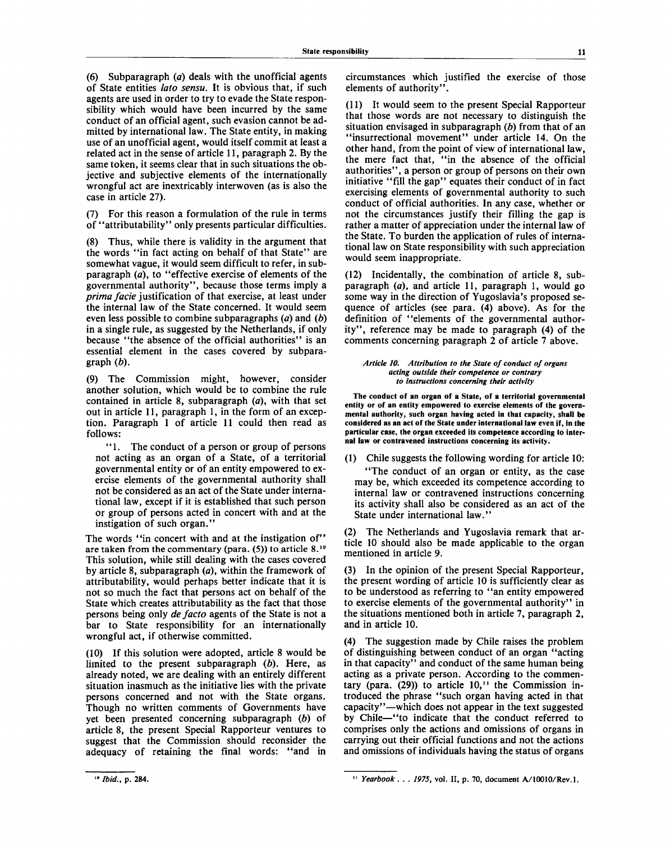(6) Subparagraph *(a)* deals with the unofficial agents of State entities *lato sensu.* It is obvious that, if such agents are used in order to try to evade the State responsibility which would have been incurred by the same conduct of an official agent, such evasion cannot be admitted by international law. The State entity, in making use of an unofficial agent, would itself commit at least a related act in the sense of article 11, paragraph 2. By the same token, it seems clear that in such situations the objective and subjective elements of the internationally wrongful act are inextricably interwoven (as is also the case in article 27).

(7) For this reason a formulation of the rule in terms of "attributability" only presents particular difficulties.

(8) Thus, while there is validity in the argument that the words "in fact acting on behalf of that State" are somewhat vague, it would seem difficult to refer, in subparagraph *(a),* to "effective exercise of elements of the governmental authority", because those terms imply a *prima facie* justification of that exercise, at least under the internal law of the State concerned. It would seem even less possible to combine subparagraphs *(a)* and *(b)* in a single rule, as suggested by the Netherlands, if only because "the absence of the official authorities" is an essential element in the cases covered by subparagraph *(b).*

(9) The Commission might, however, consider another solution, which would be to combine the rule contained in article 8, subparagraph *(a),* with that set out in article 11, paragraph 1, in the form of an exception. Paragraph 1 of article 11 could then read as follows:

"1. The conduct of a person or group of persons" not acting as an organ of a State, of a territorial governmental entity or of an entity empowered to exercise elements of the governmental authority shall not be considered as an act of the State under international law, except if it is established that such person or group of persons acted in concert with and at the instigation of such organ.'

The words "in concert with and at the instigation of" are taken from the commentary (para. (5)) to article 8.<sup>10</sup> This solution, while still dealing with the cases covered by article 8, subparagraph (a), within the framework of attributability, would perhaps better indicate that it is not so much the fact that persons act on behalf of the State which creates attributability as the fact that those persons being only *de facto* agents of the State is not a bar to State responsibility for an internationally wrongful act, if otherwise committed.

(10) If this solution were adopted, article 8 would be limited to the present subparagraph *(b).* Here, as already noted, we are dealing with an entirely different situation inasmuch as the initiative lies with the private persons concerned and not with the State organs. Though no written comments of Governments have yet been presented concerning subparagraph *(b)* of article 8, the present Special Rapporteur ventures to suggest that the Commission should reconsider the adequacy of retaining the final words: "and in

(11) It would seem to the present Special Rapporteur that those words are not necessary to distinguish the situation envisaged in subparagraph *(b)* from that of an "insurrectional movement" under article 14. On the other hand, from the point of view of international law, the mere fact that, "in the absence of the official authorities", a person or group of persons on their own initiative "fill the gap" equates their conduct of in fact exercising elements of governmental authority to such conduct of official authorities. In any case, whether or not the circumstances justify their filling the gap is rather a matter of appreciation under the internal law of the State. To burden the application of rules of international law on State responsibility with such appreciation would seem inappropriate.

(12) Incidentally, the combination of article 8, subparagraph *(a),* and article 11, paragraph 1, would go some way in the direction of Yugoslavia's proposed sequence of articles (see para. (4) above). As for the definition of "elements of the governmental authority", reference may be made to paragraph (4) of the comments concerning paragraph 2 of article 7 above.

### *Article 10. Attribution to the State of conduct of organs acting outside their competence or contrary to instructions concerning their activity*

**The conduct of an organ of a State, of a territorial governmental entity or of an entity empowered to exercise elements of the governmental authority, such organ having acted in that capacity, shall be considered as an act of the State under international law even if, in the particular case, the organ exceeded its competence according to internal law or contravened instructions concerning its activity.**

(1) Chile suggests the following wording for article 10: "The conduct of an organ or entity, as the case may be, which exceeded its competence according to internal law or contravened instructions concerning its activity shall also be considered as an act of the State under international law."

(2) The Netherlands and Yugoslavia remark that article 10 should also be made applicable to the organ mentioned in article 9.

(3) In the opinion of the present Special Rapporteur, the present wording of article 10 is sufficiently clear as to be understood as referring to "an entity empowered to exercise elements of the governmental authority" in the situations mentioned both in article 7, paragraph 2, and in article 10.

(4) The suggestion made by Chile raises the problem of distinguishing between conduct of an organ "acting in that capacity" and conduct of the same human being acting as a private person. According to the commentary (para.  $(29)$ ) to article  $10,$ <sup>11</sup> the Commission introduced the phrase "such organ having acted in that capacity"—which does not appear in the text suggested by Chile—"to indicate that the conduct referred to comprises only the actions and omissions of organs in carrying out their official functions and not the actions and omissions of individuals having the status of organs

*Ibid.,* **p. 284. "** *Yearbook .* **. .** *1975,* **vol. II, p. 70, document A/10010/Rev.l.**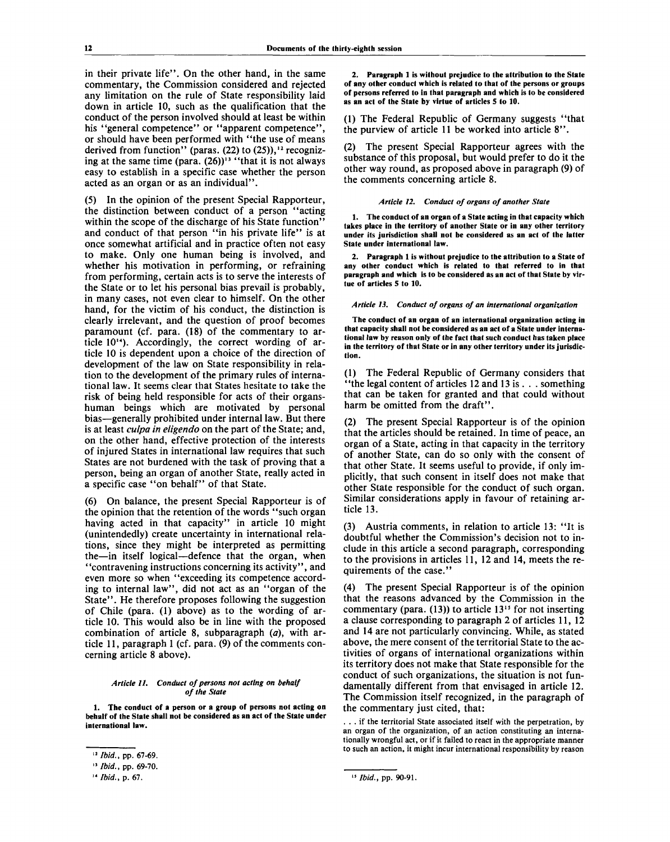in their private life". On the other hand, in the same commentary, the Commission considered and rejected any limitation on the rule of State responsibility laid down in article 10, such as the qualification that the conduct of the person involved should at least be within his "general competence" or "apparent competence", or should have been performed with "the use of means derived from function" (paras.  $(22)$  to  $(25)$ ),<sup>12</sup> recognizing at the same time (para.  $(26)$ )<sup>13</sup> "that it is not always easy to establish in a specific case whether the person acted as an organ or as an individual".

(5) In the opinion of the present Special Rapporteur, the distinction between conduct of a person "acting within the scope of the discharge of his State function" and conduct of that person "in his private life" is at once somewhat artificial and in practice often not easy to make. Only one human being is involved, and whether his motivation in performing, or refraining from performing, certain acts is to serve the interests of the State or to let his personal bias prevail is probably, in many cases, not even clear to himself. On the other hand, for the victim of his conduct, the distinction is clearly irrelevant, and the question of proof becomes paramount (cf. para. (18) of the commentary to arfull ticle 10<sup> $\cdot$ </sup>). Accordingly, the correct wording of article 10 is dependent upon a choice of the direction of development of the law on State responsibility in relation to the development of the primary rules of international law. It seems clear that States hesitate to take the risk of being held responsible for acts of their organshuman beings which are motivated by personal bias—generally prohibited under internal law. But there is at least *culpa in eligendo* on the part of the State; and, on the other hand, effective protection of the interests of injured States in international law requires that such States are not burdened with the task of proving that a person, being an organ of another State, really acted in a specific case "on behalf" of that State.

(6) On balance, the present Special Rapporteur is of the opinion that the retention of the words "such organ having acted in that capacity" in article 10 might (unintendedly) create uncertainty in international relations, since they might be interpreted as permitting the—in itself logical—defence that the organ, when "contravening instructions concerning its activity", and even more so when "exceeding its competence according to internal law", did not act as an "organ of the State". He therefore proposes following the suggestion of Chile (para. (1) above) as to the wording of article 10. This would also be in line with the proposed combination of article 8, subparagraph *(a),* with article 11, paragraph 1 (cf. para. (9) of the comments concerning article 8 above).

# *Article 11. Conduct of persons not acting on behalf of the State*

**1. The conduct of a person or a group of persons not acting on behalf of the State shall not be considered as an act of the State under international law.**

**2. Paragraph 1 is without prejudice to the attribution to the State of any other conduct which is related to that of the persons or groups of persons referred to in that paragraph and which is to be considered as an act of the State by virtue of articles 5 to 10.**

(1) The Federal Republic of Germany suggests "that the purview of article 11 be worked into article 8".

(2) The present Special Rapporteur agrees with the substance of this proposal, but would prefer to do it the other way round, as proposed above in paragraph (9) of the comments concerning article 8.

### *Article 12. Conduct of organs of another State*

**1. The conduct of an organ of a State acting in that capacity which takes place in the territory of another State or in any other territory under its jurisdiction shall not be considered as an act of the latter State under international law.**

**2. Paragraph 1 is without prejudice to the attribution to a State of any other conduct which is related to that referred to in that paragraph and which is to be considered as an act of that State by virtue of articles 5 to 10.**

### *Article 13. Conduct of organs of an international organization*

**The conduct of an organ of an international organization acting in that capacity shall not be considered as an act of a State under international law by reason only of the fact that such conduct has taken place in the territory of that State or in any other territory under its jurisdiction.**

(1) The Federal Republic of Germany considers that "the legal content of articles 12 and 13 is. . . something that can be taken for granted and that could without harm be omitted from the draft".

(2) The present Special Rapporteur is of the opinion that the articles should be retained. In time of peace, an organ of a State, acting in that capacity in the territory of another State, can do so only with the consent of that other State. It seems useful to provide, if only implicitly, that such consent in itself does not make that other State responsible for the conduct of such organ. Similar considerations apply in favour of retaining article 13.

(3) Austria comments, in relation to article 13: "It is doubtful whether the Commission's decision not to include in this article a second paragraph, corresponding to the provisions in articles 11, 12 and 14, meets the requirements of the case."

(4) The present Special Rapporteur is of the opinion that the reasons advanced by the Commission in the commentary (para.  $(13)$ ) to article  $13^{15}$  for not inserting a clause corresponding to paragraph 2 of articles 11, 12 and 14 are not particularly convincing. While, as stated above, the mere consent of the territorial State to the activities of organs of international organizations within its territory does not make that State responsible for the conduct of such organizations, the situation is not fundamentally different from that envisaged in article 12. The Commission itself recognized, in the paragraph of the commentary just cited, that:

. . . if the territorial State associated itself with the perpetration, by an organ of the organization, of an action constituting an internationally wrongful act, or if it failed to react in the appropriate manner to such an action, it might incur international responsibility by reason

<sup>12</sup>  *Ibid.,* pp. 67-69.

*<sup>&</sup>quot;Ibid.,* pp. 69-70.

<sup>14</sup>  *Ibid.,* p. 67.

*<sup>&</sup>quot;Ibid.,* pp. 90-91.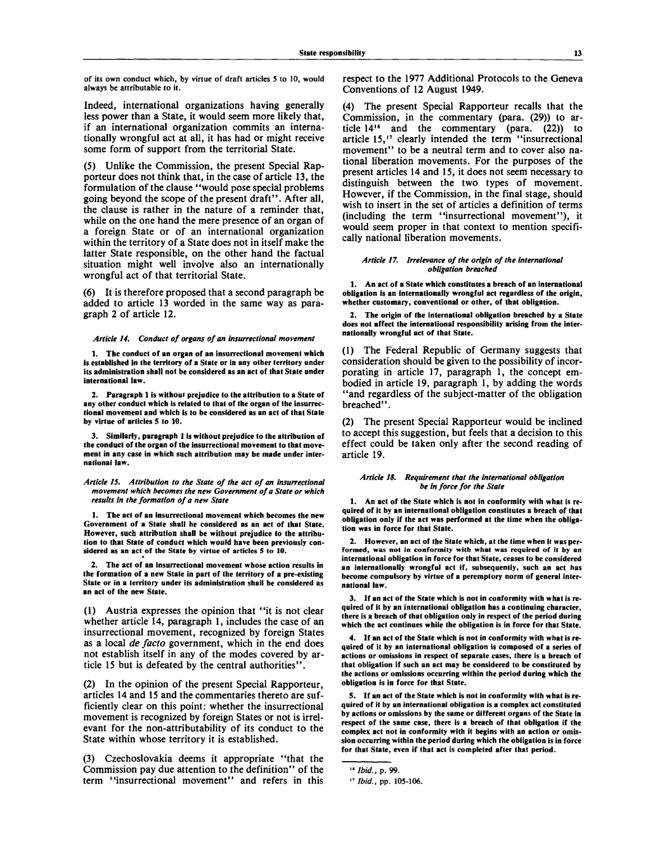**of its own conduct which, by virtue of draft articles 5 to 10, would always be attributable to it.**

Indeed, international organizations having generally less power than a State, it would seem more likely that, if an international organization commits an internationally wrongful act at all, it has had or might receive some form of support from the territorial State.

(5) Unlike the Commission, the present Special Rapporteur does not think that, in the case of article 13, the formulation of the clause "would pose special problems going beyond the scope of the present draft". After all, the clause is rather in the nature of a reminder that, while on the one hand the mere presence of an organ of a foreign State or of an international organization within the territory of a State does not in itself make the latter State responsible, on the other hand the factual situation might well involve also an internationally wrongful act of that territorial State.

(6) It is therefore proposed that a second paragraph be added to article 13 worded in the same way as paragraph 2 of article 12.

### *Article 14. Conduct of organs of an insurrectional movement*

**1. The conduct of an organ of an insurrectional movement which is established in the territory of a State or in any other territory under its administration shall not be considered as an act of that State under international law.**

**2. Paragraph 1 is without prejudice to the attribution to a State of any other conduct which is related to that of the organ of the insurrectional movement and which is to be considered as an act of that State by virtue of articles 5 to 10.**

**3. Similarly, paragraph 1 is without prejudice to the attribution of the conduct of the organ of the insurrectional movement to that movement in any case in which such attribution may be made under international law.**

### *Article 15. Attribution to the State of the act of an insurrectional movement which becomes the new Government of a State or which results in the formation of a new State*

**1. The act of an insurrectional movement which becomes the new Government of a State shall be considered as an act of that State. However, such attribution shall be without prejudice to the attribution to that State of conduct which would have been previously considered as an act of the State by virtue of articles 5 to 10.**

**2. The act of an insurrectional movement whose action results in the formation of a new State in part of the territory of a pre-existing State or in a territory under its administration shall be considered as an act of the new State.**

(1) Austria expresses the opinion that "it is not clear whether article 14, paragraph 1, includes the case of an insurrectional movement, recognized by foreign States as a local *de facto* government, which in the end does not establish itself in any of the modes covered by article 15 but is defeated by the central authorities".

(2) In the opinion of the present Special Rapporteur, articles 14 and 15 and the commentaries thereto are sufficiently clear on this point: whether the insurrectional movement is recognized by foreign States or not is irrelevant for the non-attributability of its conduct to the State within whose territory it is established.

(3) Czechoslovakia deems it appropriate "that the Commission pay due attention to the definition" of the term "insurrectional movement" and refers in this respect to the 1977 Additional Protocols to the Geneva Conventions of 12 August 1949.

(4) The present Special Rapporteur recalls that the Commission, in the commentary (para. (29)) to article 14<sup>16</sup> and the commentary (para. (22)) to article 15,<sup>17</sup> clearly intended the term "insurrectional movement" to be a neutral term and to cover also national liberation movements. For the purposes of the present articles 14 and 15, it does not seem necessary to distinguish between the two types of movement. However, if the Commission, in the final stage, should wish to insert in the set of articles a definition of terms (including the term "insurrectional movement"), it would seem proper in that context to mention specifically national liberation movements.

### *Article 17. Irrelevance of the origin of the international obligation breached*

**1. An act of a State which constitutes a breach of an international obligation is an internationally wrongful act regardless of the origin, whether customary, conventional or other, of that obligation.**

**2. The origin of the international obligation breached by a State does not affect the international responsibility arising from the internationally wrongful act of that State.**

(1) The Federal Republic of Germany suggests that consideration should be given to the possibility of incorporating in article 17, paragraph 1, the concept embodied in article 19, paragraph 1, by adding the words "and regardless of the subject-matter of the obligation breached".

(2) The present Special Rapporteur would be inclined to accept this suggestion, but feels that a decision to this effect could be taken only after the second reading of article 19.

### *Article 18. Requirement that the international obligation be in force for the State*

**1. An act of the State which is not in conformity with what is required of it by an international obligation constitutes a breach of that obligation only if the act was performed at the time when the obligation was in force for that State.**

**2. However, an act of the State which, at the time when it was performed, was not in conformity with what was required of it by an international obligation in force for that State, ceases to be considered** an internationally wrongful act if, subsequently, such an act has **become compulsory by virtue of a peremptory norm of general international law.**

**3. If an act of the State which is not in conformity with what is required of it by an international obligation has a continuing character, there is a breach of that obligation only in respect of the period during which the act continues while the obligation is in force for that State.**

**4. If an act of the State which is not in conformity with what is required of it by an international obligation is composed of a series of actions or omissions in respect of separate cases, there is a breach of that obligation if such an act may be considered to be constituted by the actions or omissions occurring within the period during which the obligation is in force for that State.**

**5. If an act of the State which is not in conformity with what is required of it by an international obligation is a complex act constituted by actions or omissions by the same or different organs of the State in respect of the same case, there is a breach of that obligation if the complex act not in conformity with it begins with an action or omission occurring within the period during which the obligation is in force for that State, even if that act is completed after that period.**

*<sup>&#</sup>x27;"Ibid.,* **p. 99.**

*<sup>11</sup> Ibid.,* **pp. 105-106.**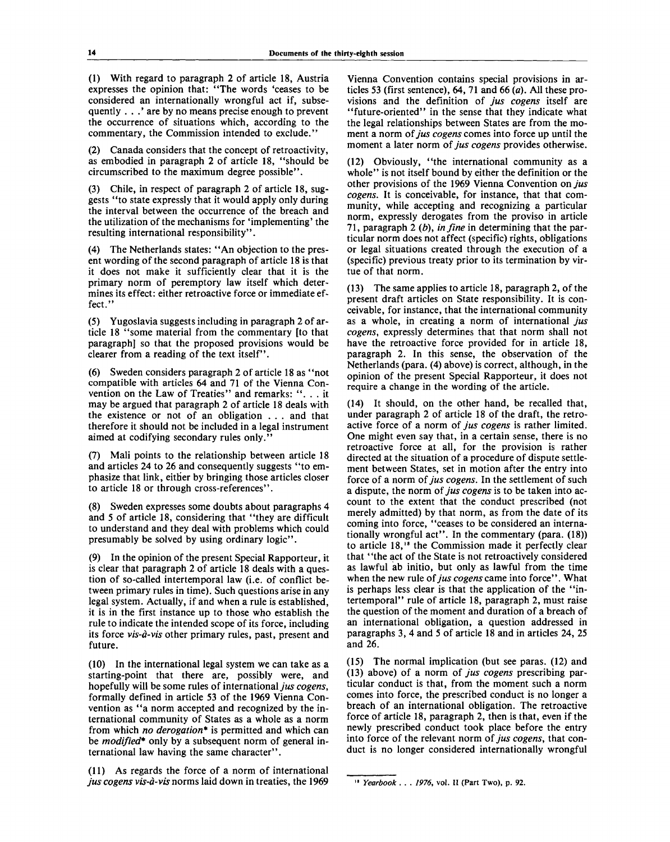(1) With regard to paragraph 2 of article 18, Austria expresses the opinion that: "The words 'ceases to be considered an internationally wrongful act if, subsequently . . .' are by no means precise enough to prevent the occurrence of situations which, according to the commentary, the Commission intended to exclude."

(2) Canada considers that the concept of retroactivity, as embodied in paragraph 2 of article 18, "should be circumscribed to the maximum degree possible".

(3) Chile, in respect of paragraph 2 of article 18, suggests "to state expressly that it would apply only during the interval between the occurrence of the breach and the utilization of the mechanisms for 'implementing' the resulting international responsibility".

(4) The Netherlands states: "An objection to the present wording of the second paragraph of article 18 is that it does not make it sufficiently clear that it is the primary norm of peremptory law itself which determines its effect: either retroactive force or immediate effect."

(5) Yugoslavia suggests including in paragraph 2 of article 18 "some material from the commentary [to that paragraph] so that the proposed provisions would be clearer from a reading of the text itself".

(6) Sweden considers paragraph 2 of article 18 as "not compatible with articles 64 and 71 of the Vienna Convention on the Law of Treaties" and remarks: "... it may be argued that paragraph 2 of article 18 deals with the existence or not of an obligation . . . and that therefore it should not be included in a legal instrument aimed at codifying secondary rules only."

(7) Mali points to the relationship between article 18 and articles 24 to 26 and consequently suggests "to emphasize that link, either by bringing those articles closer to article 18 or through cross-references".

(8) Sweden expresses some doubts about paragraphs 4 and 5 of article 18, considering that "they are difficult to understand and they deal with problems which could presumably be solved by using ordinary logic".

(9) In the opinion of the present Special Rapporteur, it is clear that paragraph 2 of article 18 deals with a question of so-called intertemporal law (i.e. of conflict between primary rules in time). Such questions arise in any legal system. Actually, if and when a rule is established, it is in the first instance up to those who establish the rule to indicate the intended scope of its force, including its force *vis-a-vis* other primary rules, past, present and future.

(10) In the international legal system we can take as a starting-point that there are, possibly were, and hopefully will be some rules of international *jus cogens,* formally defined in article 53 of the 1969 Vienna Convention as "a norm accepted and recognized by the international community of States as a whole as a norm from which *no derogation\** is permitted and which can be *modified\** only by a subsequent norm of general international law having the same character".

(11) As regards the force of a norm of international *jus cogens vis-a-vis* norms laid down in treaties, the 1969 Vienna Convention contains special provisions in articles 53 (first sentence), 64, 71 and 66 *(a).* All these provisions and the definition of *jus cogens* itself are "future-oriented" in the sense that they indicate what the legal relationships between States are from the moment a norm of *jus cogens* comes into force up until the moment a later norm of *jus cogens* provides otherwise.

(12) Obviously, "the international community as a whole" is not itself bound by either the definition or the other provisions of the 1969 Vienna Convention on *jus cogens.* It is conceivable, for instance, that that community, while accepting and recognizing a particular norm, expressly derogates from the proviso in article 71, paragraph 2 *(b), in fine* in determining that the particular norm does not affect (specific) rights, obligations or legal situations created through the execution of a (specific) previous treaty prior to its termination by virtue of that norm.

(13) The same applies to article 18, paragraph 2, of the present draft articles on State responsibility. It is conceivable, for instance, that the international community as a whole, in creating a norm of international *jus cogens,* expressly determines that that norm shall not have the retroactive force provided for in article 18, paragraph 2. In this sense, the observation of the Netherlands (para. (4) above) is correct, although, in the opinion of the present Special Rapporteur, it does not require a change in the wording of the article.

(14) It should, on the other hand, be recalled that, under paragraph 2 of article 18 of the draft, the retroactive force of a norm of *jus cogens* is rather limited. One might even say that, in a certain sense, there is no retroactive force at all, for the provision is rather directed at the situation of a procedure of dispute settlement between States, set in motion after the entry into force of a norm of *jus cogens.* In the settlement of such a dispute, the norm of *jus cogens* is to be taken into account to the extent that the conduct prescribed (not merely admitted) by that norm, as from the date of its coming into force, "ceases to be considered an internationally wrongful act". In the commentary (para. (18)) to article 18,<sup>18</sup> the Commission made it perfectly clear that' 'the act of the State is not retroactively considered as lawful ab initio, but only as lawful from the time when the new rule of *jus cogens* came into force". What is perhaps less clear is that the application of the "intertemporal" rule of article 18, paragraph 2, must raise the question of the moment and duration of a breach of an international obligation, a question addressed in paragraphs 3, 4 and 5 of article 18 and in articles 24, 25 and 26.

(15) The normal implication (but see paras. (12) and (13) above) of a norm of *jus cogens* prescribing particular conduct is that, from the moment such a norm comes into force, the prescribed conduct is no longer a breach of an international obligation. The retroactive force of article 18, paragraph 2, then is that, even if the newly prescribed conduct took place before the entry into force of the relevant norm of *jus cogens,* that conduct is no longer considered internationally wrongful

**<sup>11</sup>**  *Yearbook . . . 1976,* **vol. II (Part Two), p. 92.**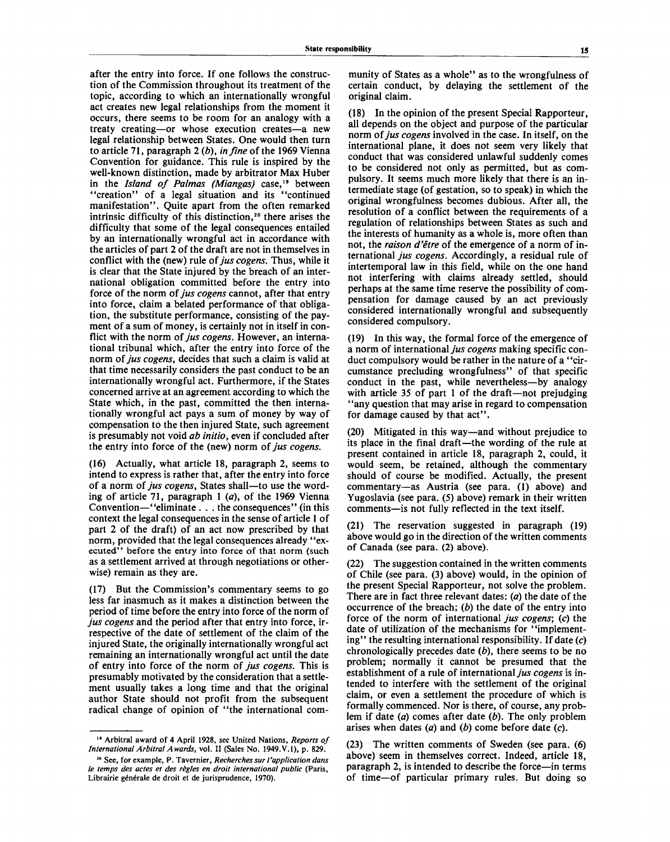after the entry into force. If one follows the construction of the Commission throughout its treatment of the topic, according to which an internationally wrongful act creates new legal relationships from the moment it occurs, there seems to be room for an analogy with a treaty creating—or whose execution creates—a new legal relationship between States. One would then turn to article 71, paragraph 2 *(b), in fine* of the 1969 Vienna Convention for guidance. This rule is inspired by the well-known distinction, made by arbitrator Max Huber in the *Island of Palmas (Miangas)* case,<sup>19</sup> between "creation" of a legal situation and its "continued manifestation". Quite apart from the often remarked intrinsic difficulty of this distinction,<sup>20</sup> there arises the difficulty that some of the legal consequences entailed by an internationally wrongful act in accordance with the articles of part 2 of the draft are not in themselves in conflict with the (new) rule of *jus cogens.* Thus, while it is clear that the State injured by the breach of an international obligation committed before the entry into force of the norm of *jus cogens* cannot, after that entry into force, claim a belated performance of that obligation, the substitute performance, consisting of the payment of a sum of money, is certainly not in itself in conflict with the norm of *jus cogens.* However, an international tribunal which, after the entry into force of the norm of *jus cogens,* decides that such a claim is valid at that time necessarily considers the past conduct to be an internationally wrongful act. Furthermore, if the States concerned arrive at an agreement according to which the State which, in the past, committed the then internationally wrongful act pays a sum of money by way of compensation to the then injured State, such agreement is presumably not void *ab initio,* even if concluded after the entry into force of the (new) norm of *jus cogens.*

(16) Actually, what article 18, paragraph 2, seems to intend to express is rather that, after the entry into force of a norm of *jus cogens,* States shall—to use the wording of article 71, paragraph 1 *(a),* of the 1969 Vienna Convention—"eliminate .. . the consequences" (in this context the legal consequences in the sense of article 1 of part 2 of the draft) of an act now prescribed by that norm, provided that the legal consequences already "executed" before the entry into force of that norm (such as a settlement arrived at through negotiations or otherwise) remain as they are.

(17) But the Commission's commentary seems to go less far inasmuch as it makes a distinction between the period of time before the entry into force of the norm of *jus cogens* and the period after that entry into force, irrespective of the date of settlement of the claim of the injured State, the originally internationally wrongful act remaining an internationally wrongful act until the date of entry into force of the norm of *jus cogens.* This is presumably motivated by the consideration that a settlement usually takes a long time and that the original author State should not profit from the subsequent radical change of opinion of "the international com-

munity of States as a whole" as to the wrongfulness of certain conduct, by delaying the settlement of the original claim.

(18) In the opinion of the present Special Rapporteur, all depends on the object and purpose of the particular norm of *jus cogens* involved in the case. In itself, on the international plane, it does not seem very likely that conduct that was considered unlawful suddenly comes to be considered not only as permitted, but as compulsory. It seems much more likely that there is an intermediate stage (of gestation, so to speak) in which the original wrongfulness becomes dubious. After all, the resolution of a conflict between the requirements of a regulation of relationships between States as such and the interests of humanity as a whole is, more often than not, the *raison d'etre* of the emergence of a norm of international *jus cogens.* Accordingly, a residual rule of intertemporal law in this field, while on the one hand not interfering with claims already settled, should perhaps at the same time reserve the possibility of compensation for damage caused by an act previously considered internationally wrongful and subsequently considered compulsory.

(19) In this way, the formal force of the emergence of a norm of international *jus cogens* making specific conduct compulsory would be rather in the nature of a ' 'circumstance precluding wrongfulness" of that specific conduct in the past, while nevertheless—by analogy with article 35 of part 1 of the draft—not prejudging "any question that may arise in regard to compensation for damage caused by that act".

(20) Mitigated in this way—and without prejudice to its place in the final draft—the wording of the rule at present contained in article 18, paragraph 2, could, it would seem, be retained, although the commentary should of course be modified. Actually, the present commentary—as Austria (see para. (1) above) and Yugoslavia (see para. (5) above) remark in their written comments—is not fully reflected in the text itself.

(21) The reservation suggested in paragraph (19) above would go in the direction of the written comments of Canada (see para. (2) above).

(22) The suggestion contained in the written comments of Chile (see para. (3) above) would, in the opinion of the present Special Rapporteur, not solve the problem. There are in fact three relevant dates: *(a)* the date of the occurrence of the breach; *(b)* the date of the entry into force of the norm of international *jus cogens;* (c) the date of utilization of the mechanisms for ' 'implementing" the resulting international responsibility. If date  $(c)$ chronologically precedes date *(b),* there seems to be no problem; normally it cannot be presumed that the establishment of a rule of international *jus cogens* is intended to interfere with the settlement of the original claim, or even a settlement the procedure of which is formally commenced. Nor is there, of course, any problem if date *(a)* comes after date *(b).* The only problem arises when dates *(a)* and *(b)* come before date (c).

(23) The written comments of Sweden (see para. (6) above) seem in themselves correct. Indeed, article 18, paragraph 2, is intended to describe the force—in terms of time—of particular primary rules. But doing so

<sup>&</sup>quot; Arbitral award of 4 April 1928, see United Nations, *Reports of International Arbitral Awards,* vol. II (Sales No. 1949.V.I), p. 829.

<sup>&</sup>lt;sup>20</sup> See, for example, P. Tavernier, *Recherches sur l'application dans le temps des actes et des regies en droit international public* (Paris, Librairie générale de droit et de jurisprudence, 1970).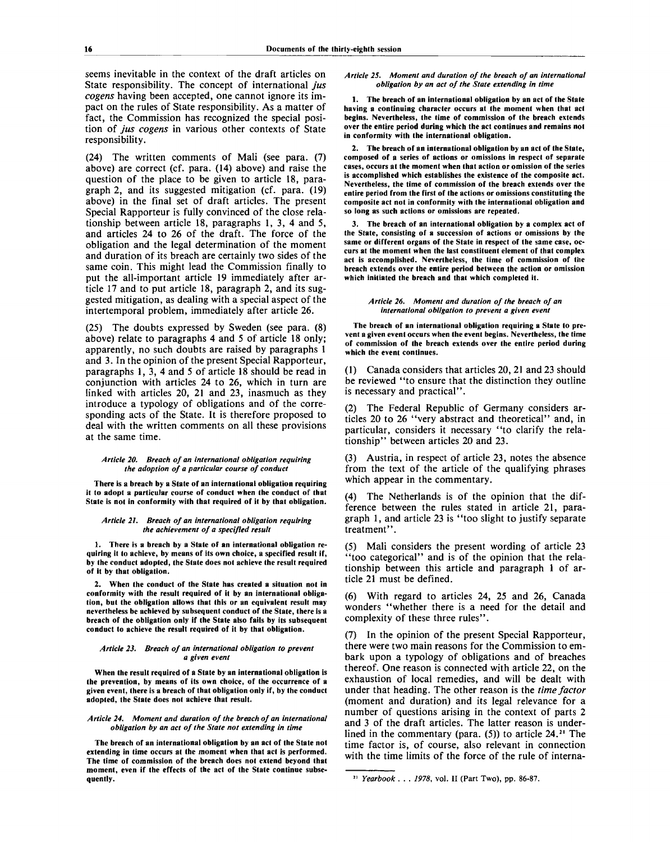seems inevitable in the context of the draft articles on State responsibility. The concept of international *jus cogens* having been accepted, one cannot ignore its impact on the rules of State responsibility. As a matter of fact, the Commission has recognized the special position of *jus cogens* in various other contexts of State responsibility.

(24) The written comments of Mali (see para. (7) above) are correct (cf. para. (14) above) and raise the question of the place to be given to article 18, paragraph 2, and its suggested mitigation (cf. para. (19) above) in the final set of draft articles. The present Special Rapporteur is fully convinced of the close relationship between article 18, paragraphs 1, 3, 4 and 5, and articles 24 to 26 of the draft. The force of the obligation and the legal determination of the moment and duration of its breach are certainly two sides of the same coin. This might lead the Commission finally to put the all-important article 19 immediately after article 17 and to put article 18, paragraph 2, and its suggested mitigation, as dealing with a special aspect of the intertemporal problem, immediately after article 26.

(25) The doubts expressed by Sweden (see para. (8) above) relate to paragraphs 4 and 5 of article 18 only; apparently, no such doubts are raised by paragraphs 1 and 3. In the opinion of the present Special Rapporteur, paragraphs 1, 3, 4 and 5 of article 18 should be read in conjunction with articles 24 to 26, which in turn are linked with articles 20, 21 and 23, inasmuch as they introduce a typology of obligations and of the corresponding acts of the State. It is therefore proposed to deal with the written comments on all these provisions at the same time.

### *Article 20. Breach of an international obligation requiring the adoption of a particular course of conduct*

**There is a breach by a State of an international obligation requiring it to adopt a particular course of conduct when the conduct of that State is not in conformity with that required of it by that obligation.**

### *Article 21. Breach of an international obligation requiring the achievement of a specified result*

**1. There is a breach by a State of an international obligation requiring it to achieve, by means of its own choice, a specified result if, by the conduct adopted, the State does not achieve the result required of it by that obligation.**

**2. When the conduct of the State has created a situation not in conformity with the result required of it by an international obligation, but the obligation allows that this or an equivalent result may nevertheless be achieved by subsequent conduct of the State, there is a breach of the obligation only if the State also fails by its subsequent conduct to achieve the result required of it by that obligation.**

### *Article 23. Breach of an international obligation to prevent a given event*

**When the result required of a State by an international obligation is the prevention, by means of its own choice, of the occurrence of a given event, there is a breach of that obligation only if, by the conduct adopted, the State does not achieve that result.**

### *Article 24. Moment and duration of the breach of an international obligation by an act of the State not extending in time*

**The breach of an international obligation by an act of the State not extending in time occurs at the moment when that act is performed. The time of commission of the breach does not extend beyond that moment, even if the effects of the act of the State continue subsequently.**

### *Article 25. Moment and duration of the breach of an international obligation by an act of the State extending in time*

**1. The breach of an international obligation by an act of the State having a continuing character occurs at the moment when that act begins. Nevertheless, the time of commission of the breach extends over the entire period during which the act continues and remains not in conformity with the international obligation.**

**2. The breach of an international obligation by an act of the State, composed of a series of actions or omissions in respect of separate cases, occurs at the moment when that action or omission of the series is accomplished which establishes the existence of the composite act. Nevertheless, the time of commission of the breach extends over the entire period from the first of the actions or omissions constituting the composite act not in conformity with the international obligation and so long as such actions or omissions are repeated.**

**3. The breach of an international obligation by a complex act of the State, consisting of a succession of actions or omissions by the same or different organs of the State in respect of the same case, occurs at the moment when the last constituent element of that complex act is accomplished. Nevertheless, the time of commission of the breach extends over the entire period between the action or omission which initiated the breach and that which completed it.**

## *Article 26. Moment and duration of the breach of an international obligation to prevent a given event*

**The breach of an international obligation requiring a State to prevent a given event occurs when the event begins. Nevertheless, the time of commission of the breach extends over the entire period during which the event continues.**

(1) Canada considers that articles 20, 21 and 23 should be reviewed "to ensure that the distinction they outline is necessary and practical".

(2) The Federal Republic of Germany considers articles 20 to 26 "very abstract and theoretical" and, in particular, considers it necessary "to clarify the relationship" between articles 20 and 23.

(3) Austria, in respect of article 23, notes the absence from the text of the article of the qualifying phrases which appear in the commentary.

(4) The Netherlands is of the opinion that the difference between the rules stated in article 21, paragraph 1, and article 23 is "too slight to justify separate treatment".

(5) Mali considers the present wording of article 23 "too categorical" and is of the opinion that the relationship between this article and paragraph 1 of article 21 must be defined.

(6) With regard to articles 24, 25 and 26, Canada wonders "whether there is a need for the detail and complexity of these three rules".

(7) In the opinion of the present Special Rapporteur, there were two main reasons for the Commission to embark upon a typology of obligations and of breaches thereof. One reason is connected with article 22, on the exhaustion of local remedies, and will be dealt with under that heading. The other reason is the *time factor* (moment and duration) and its legal relevance for a number of questions arising in the context of parts 2 and 3 of the draft articles. The latter reason is underlined in the commentary (para. (5)) to article 24.<sup>21</sup> The time factor is, of course, also relevant in connection with the time limits of the force of the rule of interna-

**<sup>21</sup>**  *Yearbook . . . 1978,* **vol. II (Part Two), pp. 86-87.**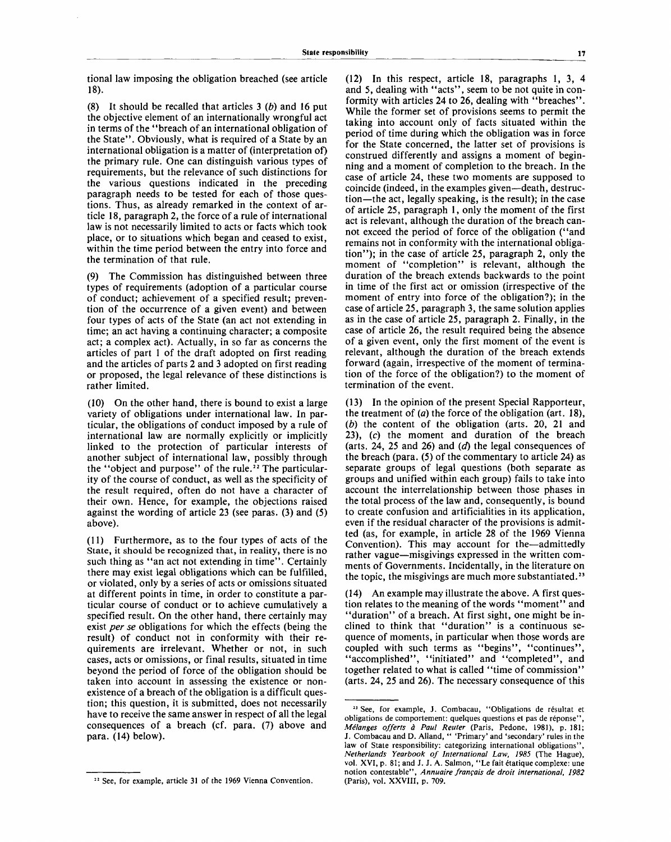tional law imposing the obligation breached (see article 18).

(8) It should be recalled that articles 3 *(b)* and 16 put the objective element of an internationally wrongful act in terms of the "breach of an international obligation of the State". Obviously, what is required of a State by an international obligation is a matter of (interpretation of) the primary rule. One can distinguish various types of requirements, but the relevance of such distinctions for the various questions indicated in the preceding paragraph needs to be tested for each of those questions. Thus, as already remarked in the context of article 18, paragraph 2, the force of a rule of international law is not necessarily limited to acts or facts which took place, or to situations which began and ceased to exist, within the time period between the entry into force and the termination of that rule.

(9) The Commission has distinguished between three types of requirements (adoption of a particular course of conduct; achievement of a specified result; prevention of the occurrence of a given event) and between four types of acts of the State (an act not extending in time; an act having a continuing character; a composite act; a complex act). Actually, in so far as concerns the articles of part 1 of the draft adopted on first reading and the articles of parts 2 and 3 adopted on first reading or proposed, the legal relevance of these distinctions is rather limited.

(10) On the other hand, there is bound to exist a large variety of obligations under international law. In particular, the obligations of conduct imposed by a rule of international law are normally explicitly or implicitly linked to the protection of particular interests of another subject of international law, possibly through the "object and purpose" of the rule.<sup>22</sup> The particularity of the course of conduct, as well as the specificity of the result required, often do not have a character of their own. Hence, for example, the objections raised against the wording of article 23 (see paras. (3) and (5) above).

(11) Furthermore, as to the four types of acts of the State, it should be recognized that, in reality, there is no such thing as "an act not extending in time". Certainly there may exist legal obligations which can be fulfilled, or violated, only by a series of acts or omissions situated at different points in time, in order to constitute a particular course of conduct or to achieve cumulatively a specified result. On the other hand, there certainly may exist *per se* obligations for which the effects (being the result) of conduct not in conformity with their requirements are irrelevant. Whether or not, in such cases, acts or omissions, or final results, situated in time beyond the period of force of the obligation should be taken into account in assessing the existence or nonexistence of a breach of the obligation is a difficult question; this question, it is submitted, does not necessarily have to receive the same answer in respect of all the legal consequences of a breach (cf. para. (7) above and para. (14) below).

(12) In this respect, article 18, paragraphs 1, 3, 4 and 5, dealing with "acts", seem to be not quite in conformity with articles 24 to 26, dealing with "breaches". While the former set of provisions seems to permit the taking into account only of facts situated within the period of time during which the obligation was in force for the State concerned, the latter set of provisions is construed differently and assigns a moment of beginning and a moment of completion to the breach. In the case of article 24, these two moments are supposed to coincide (indeed, in the examples given—death, destruction—the act, legally speaking, is the result); in the case of article 25, paragraph 1, only the moment of the first act is relevant, although the duration of the breach cannot exceed the period of force of the obligation ("and remains not in conformity with the international obligation"); in the case of article 25, paragraph 2, only the moment of "completion" is relevant, although the duration of the breach extends backwards to the point in time of the first act or omission (irrespective of the moment of entry into force of the obligation?); in the case of article 25, paragraph 3, the same solution applies as in the case of article 25, paragraph 2. Finally, in the case of article 26, the result required being the absence of a given event, only the first moment of the event is relevant, although the duration of the breach extends forward (again, irrespective of the moment of termination of the force of the obligation?) to the moment of

(13) In the opinion of the present Special Rapporteur, the treatment of *(a)* the force of the obligation (art. 18), *(b)* the content of the obligation (arts. 20, 21 and 23), (c) the moment and duration of the breach (arts. 24, 25 and 26) and *(d)* the legal consequences of the breach (para. (5) of the commentary to article 24) as separate groups of legal questions (both separate as groups and unified within each group) fails to take into account the interrelationship between those phases in the total process of the law and, consequently, is bound to create confusion and artificialities in its application, even if the residual character of the provisions is admitted (as, for example, in article 28 of the 1969 Vienna Convention). This may account for the—admittedly rather vague—misgivings expressed in the written comments of Governments. Incidentally, in the literature on the topic, the misgivings are much more substantiated.<sup>23</sup>

termination of the event.

(14) An example may illustrate the above. A first question relates to the meaning of the words "moment" and "duration" of a breach. At first sight, one might be inclined to think that "duration" is a continuous sequence of moments, in particular when those words are coupled with such terms as "begins", "continues", "accomplished", "initiated" and "completed", and together related to what is called "time of commission" (arts. 24, 25 and 26). The necessary consequence of this

<sup>&</sup>lt;sup>23</sup> See, for example, J. Combacau, "Obligations de résultat et obligations de comportement: quelques questions et pas de réponse' *Melanges offerts a Paul Reuter* (Paris, Pedone, 1981), p. 181; J. Combacau and D. Alland, " 'Primary' and 'secondary' rules in the law of State responsibility: categorizing international obligations" *Netherlands Yearbook of International Law, 1985* (The Hague), vol. XVI, p. 81; and J. **J.** A. Salmon, "Le fait etatique complexe: une notion contestable", *Annuaire frangais de droit international, 1982* (Paris), vol. XXVIII, p. 709.

<sup>&</sup>lt;sup>22</sup> See, for example, article 31 of the 1969 Vienna Convention.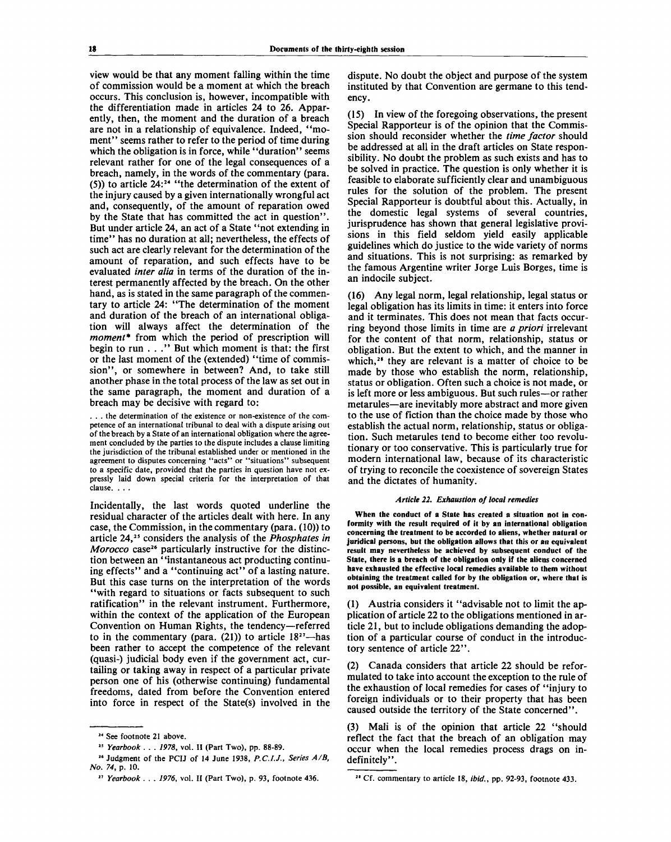view would be that any moment falling within the time of commission would be a moment at which the breach occurs. This conclusion is, however, incompatible with the differentiation made in articles 24 to 26. Apparently, then, the moment and the duration of a breach are not in a relationship of equivalence. Indeed, "moment" seems rather to refer to the period of time during which the obligation is in force, while "duration" seems relevant rather for one of the legal consequences of a breach, namely, in the words of the commentary (para.  $(5)$ ) to article  $24$ :<sup>24</sup> "the determination of the extent of the injury caused by a given internationally wrongful act and, consequently, of the amount of reparation owed by the State that has committed the act in question". But under article 24, an act of a State "not extending in time" has no duration at all; nevertheless, the effects of such act are clearly relevant for the determination of the amount of reparation, and such effects have to be evaluated *inter alia* in terms of the duration of the interest permanently affected by the breach. On the other hand, as is stated in the same paragraph of the commentary to article 24: "The determination of the moment and duration of the breach of an international obligation will always affect the determination of the *moment\** from which the period of prescription will begin to run . . ." But which moment is that: the first or the last moment of the (extended) "time of commission", or somewhere in between? And, to take still another phase in the total process of the law as set out in the same paragraph, the moment and duration of a breach may be decisive with regard to:

. . . the determination of the existence or non-existence of the competence of an international tribunal to deal with a dispute arising out of the breach by a State of an international obligation where the agreement concluded by the parties to the dispute includes a clause limiting the jurisdiction of the tribunal established under or mentioned in the agreement to disputes concerning "acts" or "situations" subsequent to a specific date, provided that the parties in question have not expressly laid down special criteria for the interpretation of that clause. . . .

Incidentally, the last words quoted underline the residual character of the articles dealt with here. In any case, the Commission, in the commentary (para. (10)) to article 24,<sup>23</sup> considers the analysis of the *Phosphates in Morocco* case<sup>26</sup> particularly instructive for the distinction between an ' 'instantaneous act producting continuing effects" and a "continuing act" of a lasting nature. But this case turns on the interpretation of the words "with regard to situations or facts subsequent to such ratification" in the relevant instrument. Furthermore, within the context of the application of the European Convention on Human Rights, the tendency—referred to in the commentary (para.  $(21)$ ) to article  $18^{27}$ —has been rather to accept the competence of the relevant (quasi-) judicial body even if the government act, curtailing or taking away in respect of a particular private person one of his (otherwise continuing) fundamental freedoms, dated from before the Convention entered into force in respect of the State(s) involved in the

dispute. No doubt the object and purpose of the system instituted by that Convention are germane to this tendency.

(15) In view of the foregoing observations, the present Special Rapporteur is of the opinion that the Commission should reconsider whether the *time factor* should be addressed at all in the draft articles on State responsibility. No doubt the problem as such exists and has to be solved in practice. The question is only whether it is feasible to elaborate sufficiently clear and unambiguous rules for the solution of the problem. The present Special Rapporteur is doubtful about this. Actually, in the domestic legal systems of several countries, jurisprudence has shown that general legislative provisions in this field seldom yield easily applicable guidelines which do justice to the wide variety of norms and situations. This is not surprising: as remarked by the famous Argentine writer Jorge Luis Borges, time is an indocile subject.

(16) Any legal norm, legal relationship, legal status or legal obligation has its limits in time: it enters into force and it terminates. This does not mean that facts occurring beyond those limits in time are *a priori* irrelevant for the content of that norm, relationship, status or obligation. But the extent to which, and the manner in which,<sup>28</sup> they are relevant is a matter of choice to be made by those who establish the norm, relationship, status or obligation. Often such a choice is not made, or is left more or less ambiguous. But such rules—or rather metarules—are inevitably more abstract and more given to the use of fiction than the choice made by those who establish the actual norm, relationship, status or obligation. Such metarules tend to become either too revolutionary or too conservative. This is particularly true for modern international law, because of its characteristic of trying to reconcile the coexistence of sovereign States and the dictates of humanity.

### *Article 22. Exhaustion of local remedies*

**When the conduct of a State has created a situation not in conformity with the result required of it by an international obligation concerning the treatment to be accorded to aliens, whether natural or juridical persons, but the obligation allows that this or an equivalent result may nevertheless be achieved by subsequent conduct of the State, there is a breach of the obligation only if the aliens concerned have exhausted the effective local remedies available to them without obtaining the treatment called for by the obligation or, where that is not possible, an equivalent treatment.**

(1) Austria considers it "advisable not to limit the application of article 22 to the obligations mentioned in article 21, but to include obligations demanding the adoption of a particular course of conduct in the introductory sentence of article 22".

(2) Canada considers that article 22 should be reformulated to take into account the exception to the rule of the exhaustion of local remedies for cases of "injury to foreign individuals or to their property that has been caused outside the territory of the State concerned".

(3) Mali is of the opinion that article 22 "should reflect the fact that the breach of an obligation may occur when the local remedies process drags on indefinitely".

*<sup>14</sup>* See footnote 21 above.

<sup>25</sup>  *Yearbook . . . 1978,* vol. II (Part Two), pp. 88-89.

<sup>&</sup>lt;sup>24</sup> Judgment of the PCIJ of 14 June 1938, *P.C.I.J., Series A/B*, *No. 74,* **p. 10.**

<sup>&</sup>quot; *Yearbook . . . 1976,* vol. II (Part Two), p. 93, footnote 436.

Cf. commentary to article 18, *ibid.,* pp. 92-93, footnote 433.